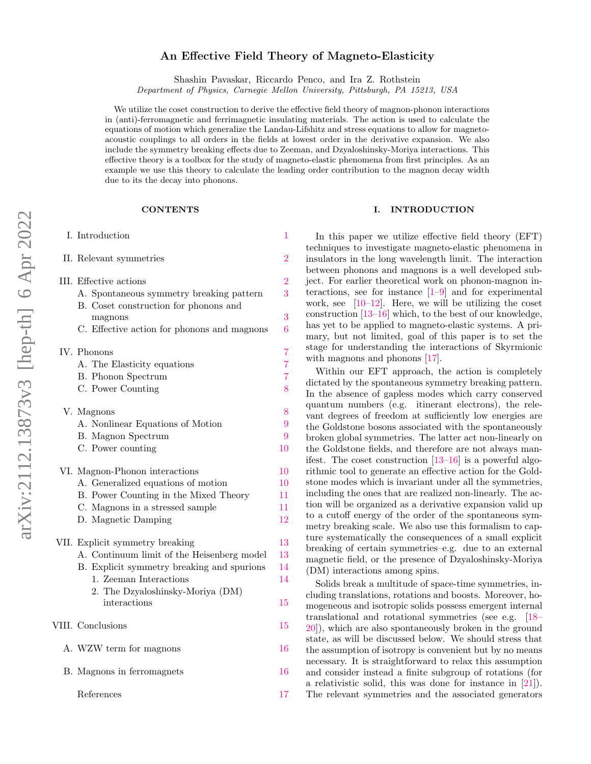# An Effective Field Theory of Magneto-Elasticity

Shashin Pavaskar, Riccardo Penco, and Ira Z. Rothstein

Department of Physics, Carnegie Mellon University, Pittsburgh, PA 15213, USA

We utilize the coset construction to derive the effective field theory of magnon-phonon interactions in (anti)-ferromagnetic and ferrimagnetic insulating materials. The action is used to calculate the equations of motion which generalize the Landau-Lifshitz and stress equations to allow for magnetoacoustic couplings to all orders in the fields at lowest order in the derivative expansion. We also include the symmetry breaking effects due to Zeeman, and Dzyaloshinsky-Moriya interactions. This effective theory is a toolbox for the study of magneto-elastic phenomena from first principles. As an example we use this theory to calculate the leading order contribution to the magnon decay width due to its the decay into phonons.

#### **CONTENTS**

| I. Introduction                                                                   |                |  |
|-----------------------------------------------------------------------------------|----------------|--|
| II. Relevant symmetries                                                           | $\rm{2}$       |  |
| III. Effective actions                                                            | $\overline{2}$ |  |
| A. Spontaneous symmetry breaking pattern<br>B. Coset construction for phonons and | 3              |  |
| magnons<br>C. Effective action for phonons and magnons                            | 3<br>6         |  |
|                                                                                   |                |  |
| IV. Phonons                                                                       | $\overline{7}$ |  |
| A. The Elasticity equations                                                       | $\overline{7}$ |  |
| <b>B.</b> Phonon Spectrum                                                         | $\overline{7}$ |  |
| C. Power Counting                                                                 | 8              |  |
| V. Magnons                                                                        | 8              |  |
| A. Nonlinear Equations of Motion                                                  | 9              |  |
| <b>B.</b> Magnon Spectrum                                                         | 9              |  |
| C. Power counting                                                                 | 10             |  |
| VI. Magnon-Phonon interactions                                                    | 10             |  |
| A. Generalized equations of motion                                                | 10             |  |
| B. Power Counting in the Mixed Theory                                             | 11             |  |
| C. Magnons in a stressed sample                                                   | 11             |  |
| D. Magnetic Damping                                                               | 12             |  |
| VII. Explicit symmetry breaking                                                   | 13             |  |
| A. Continuum limit of the Heisenberg model                                        | 13             |  |
| B. Explicit symmetry breaking and spurions                                        | 14             |  |
| 1. Zeeman Interactions                                                            | 14             |  |
| 2. The Dzyaloshinsky-Moriya (DM)                                                  |                |  |
| interactions                                                                      | 15             |  |
| VIII. Conclusions                                                                 | 15             |  |
| A. WZW term for magnons                                                           | 16             |  |
| B. Magnons in ferromagnets                                                        | 16             |  |
| References                                                                        | 17             |  |

## <span id="page-0-0"></span>I. INTRODUCTION

In this paper we utilize effective field theory (EFT) techniques to investigate magneto-elastic phenomena in insulators in the long wavelength limit. The interaction between phonons and magnons is a well developed subject. For earlier theoretical work on phonon-magnon interactions, see for instance [\[1](#page-16-1)[–9\]](#page-16-2) and for experimental work, see  $[10-12]$  $[10-12]$ . Here, we will be utilizing the coset construction [\[13](#page-16-5)[–16\]](#page-16-6) which, to the best of our knowledge, has yet to be applied to magneto-elastic systems. A primary, but not limited, goal of this paper is to set the stage for understanding the interactions of Skyrmionic with magnons and phonons [\[17\]](#page-16-7).

Within our EFT approach, the action is completely dictated by the spontaneous symmetry breaking pattern. In the absence of gapless modes which carry conserved quantum numbers (e.g. itinerant electrons), the relevant degrees of freedom at sufficiently low energies are the Goldstone bosons associated with the spontaneously broken global symmetries. The latter act non-linearly on the Goldstone fields, and therefore are not always manifest. The coset construction [\[13–](#page-16-5)[16\]](#page-16-6) is a powerful algorithmic tool to generate an effective action for the Goldstone modes which is invariant under all the symmetries, including the ones that are realized non-linearly. The action will be organized as a derivative expansion valid up to a cutoff energy of the order of the spontaneous symmetry breaking scale. We also use this formalism to capture systematically the consequences of a small explicit breaking of certain symmetries–e.g. due to an external magnetic field, or the presence of Dzyaloshinsky-Moriya (DM) interactions among spins.

Solids break a multitude of space-time symmetries, including translations, rotations and boosts. Moreover, homogeneous and isotropic solids possess emergent internal translational and rotational symmetries (see e.g. [\[18–](#page-16-8) [20\]](#page-16-9)), which are also spontaneously broken in the ground state, as will be discussed below. We should stress that the assumption of isotropy is convenient but by no means necessary. It is straightforward to relax this assumption and consider instead a finite subgroup of rotations (for a relativistic solid, this was done for instance in [\[21\]](#page-16-10)). The relevant symmetries and the associated generators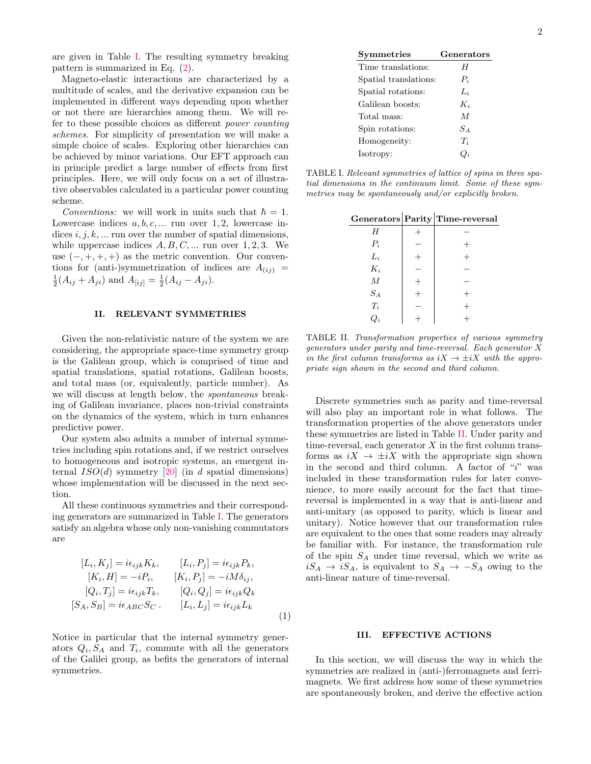are given in Table [I.](#page-1-2) The resulting symmetry breaking pattern is summarized in Eq. [\(2\)](#page-2-2).

Magneto-elastic interactions are characterized by a multitude of scales, and the derivative expansion can be implemented in different ways depending upon whether or not there are hierarchies among them. We will refer to these possible choices as different power counting schemes. For simplicity of presentation we will make a simple choice of scales. Exploring other hierarchies can be achieved by minor variations. Our EFT approach can in principle predict a large number of effects from first principles. Here, we will only focus on a set of illustrative observables calculated in a particular power counting scheme.

*Conventions:* we will work in units such that  $\hbar = 1$ . Lowercase indices  $a, b, c, \dots$  run over 1, 2, lowercase indices  $i, j, k, \ldots$  run over the number of spatial dimensions, while uppercase indices  $A, B, C, \dots$  run over 1, 2, 3. We use  $(-, +, +, +)$  as the metric convention. Our conventions for (anti-)symmetrization of indices are  $A_{(ij)} =$  $\frac{1}{2}(A_{ij} + A_{ji})$  and  $A_{[ij]} = \frac{1}{2}(A_{ij} - A_{ji}).$ 

## <span id="page-1-0"></span>II. RELEVANT SYMMETRIES

Given the non-relativistic nature of the system we are considering, the appropriate space-time symmetry group is the Galilean group, which is comprised of time and spatial translations, spatial rotations, Galilean boosts, and total mass (or, equivalently, particle number). As we will discuss at length below, the spontaneous breaking of Galilean invariance, places non-trivial constraints on the dynamics of the system, which in turn enhances predictive power.

Our system also admits a number of internal symmetries including spin rotations and, if we restrict ourselves to homogeneous and isotropic systems, an emergent internal  $ISO(d)$  symmetry [\[20\]](#page-16-9) (in d spatial dimensions) whose implementation will be discussed in the next section.

All these continuous symmetries and their corresponding generators are summarized in Table [I.](#page-1-2) The generators satisfy an algebra whose only non-vanishing commutators are

$$
[L_i, K_j] = i\epsilon_{ijk}K_k, \t [L_i, P_j] = i\epsilon_{ijk}P_k,
$$
  
\n
$$
[K_i, H] = -iP_i, \t [K_i, P_j] = -iM\delta_{ij},
$$
  
\n
$$
[Q_i, T_j] = i\epsilon_{ijk}T_k, \t [Q_i, Q_j] = i\epsilon_{ijk}Q_k
$$
  
\n
$$
[S_A, S_B] = i\epsilon_{ABC}S_C. \t [L_i, L_j] = i\epsilon_{ijk}L_k
$$
  
\n(1)

Notice in particular that the internal symmetry generators  $Q_i$ ,  $S_A$  and  $T_i$ , commute with all the generators of the Galilei group, as befits the generators of internal symmetries.

| <b>Symmetries</b>     | Generators      |
|-----------------------|-----------------|
| Time translations:    | H               |
| Spatial translations: | $P_i$           |
| Spatial rotations:    | $L_i$           |
| Galilean boosts:      | $K_i$           |
| Total mass:           | M               |
| Spin rotations:       | $S_A$           |
| Homogeneity:          | $T_i$           |
| Isotropy:             | $\mathcal{Q}_i$ |

<span id="page-1-2"></span>TABLE I. Relevant symmetries of lattice of spins in three spatial dimensions in the continuum limit. Some of these symmetries may be spontaneously and/or explicitly broken.

|                 | $Generators   Parity   Time-reversal$ |
|-----------------|---------------------------------------|
| Н               |                                       |
| $P_i$           |                                       |
| $L_i$           |                                       |
| $K_i$           |                                       |
| $\cal M$        |                                       |
| $S_A$           |                                       |
| $\mathcal{T}_i$ |                                       |
| $Q_i$           |                                       |

<span id="page-1-3"></span>TABLE II. Transformation properties of various symmetry generators under parity and time-reversal. Each generator X in the first column transforms as  $iX \to \pm iX$  with the appropriate sign shown in the second and third column.

Discrete symmetries such as parity and time-reversal will also play an important role in what follows. The transformation properties of the above generators under these symmetries are listed in Table [II.](#page-1-3) Under parity and time-reversal, each generator  $X$  in the first column transforms as  $iX \rightarrow \pm iX$  with the appropriate sign shown in the second and third column. A factor of " $i$ " was included in these transformation rules for later convenience, to more easily account for the fact that timereversal is implemented in a way that is anti-linear and anti-unitary (as opposed to parity, which is linear and unitary). Notice however that our transformation rules are equivalent to the ones that some readers may already be familiar with. For instance, the transformation rule of the spin  $S_A$  under time reversal, which we write as  $iS_A \rightarrow iS_A$ , is equivalent to  $S_A \rightarrow -S_A$  owing to the anti-linear nature of time-reversal.

## <span id="page-1-1"></span>III. EFFECTIVE ACTIONS

<span id="page-1-4"></span>In this section, we will discuss the way in which the symmetries are realized in (anti-)ferromagnets and ferrimagnets. We first address how some of these symmetries are spontaneously broken, and derive the effective action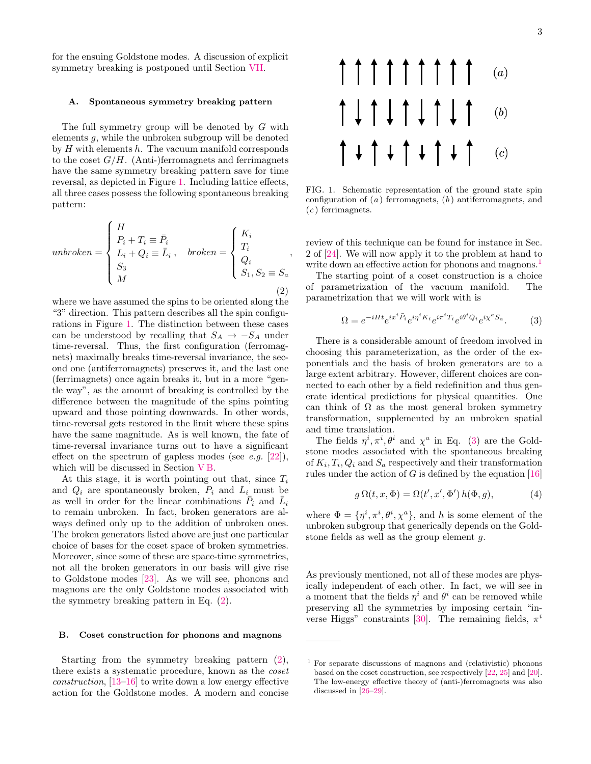for the ensuing Goldstone modes. A discussion of explicit symmetry breaking is postponed until Section [VII.](#page-12-0)

### <span id="page-2-0"></span>A. Spontaneous symmetry breaking pattern

The full symmetry group will be denoted by G with elements g, while the unbroken subgroup will be denoted by  $H$  with elements  $h$ . The vacuum manifold corresponds to the coset  $G/H$ . (Anti-)ferromagnets and ferrimagnets have the same symmetry breaking pattern save for time reversal, as depicted in Figure [1.](#page-2-3) Including lattice effects, all three cases possess the following spontaneous breaking pattern:

<span id="page-2-2"></span>
$$
unbroken = \begin{cases} H \\ P_i + T_i \equiv \bar{P}_i \\ L_i + Q_i \equiv \bar{L}_i \,, & broken = \begin{cases} K_i \\ T_i \\ Q_i \\ S_1, S_2 \equiv S_a \end{cases} \,, \end{cases} \tag{2}
$$

where we have assumed the spins to be oriented along the "3" direction. This pattern describes all the spin configurations in Figure [1.](#page-2-3) The distinction between these cases can be understood by recalling that  $S_A \rightarrow -S_A$  under time-reversal. Thus, the first configuration (ferromagnets) maximally breaks time-reversal invariance, the second one (antiferromagnets) preserves it, and the last one (ferrimagnets) once again breaks it, but in a more "gentle way", as the amount of breaking is controlled by the difference between the magnitude of the spins pointing upward and those pointing downwards. In other words, time-reversal gets restored in the limit where these spins have the same magnitude. As is well known, the fate of time-reversal invariance turns out to have a significant effect on the spectrum of gapless modes (see  $e.g.$  [\[22\]](#page-16-11)), which will be discussed in Section [V B.](#page-8-1)

At this stage, it is worth pointing out that, since  $T_i$ and  $Q_i$  are spontaneously broken,  $P_i$  and  $L_i$  must be as well in order for the linear combinations  $\overline{P}_i$  and  $\overline{L}_i$ to remain unbroken. In fact, broken generators are always defined only up to the addition of unbroken ones. The broken generators listed above are just one particular choice of bases for the coset space of broken symmetries. Moreover, since some of these are space-time symmetries, not all the broken generators in our basis will give rise to Goldstone modes [\[23\]](#page-16-12). As we will see, phonons and magnons are the only Goldstone modes associated with the symmetry breaking pattern in Eq. [\(2\)](#page-2-2).

### <span id="page-2-1"></span>B. Coset construction for phonons and magnons

Starting from the symmetry breaking pattern [\(2\)](#page-2-2), there exists a systematic procedure, known as the coset construction, [\[13](#page-16-5)[–16\]](#page-16-6) to write down a low energy effective action for the Goldstone modes. A modern and concise



<span id="page-2-3"></span>FIG. 1. Schematic representation of the ground state spin configuration of  $(a)$  ferromagnets,  $(b)$  antiferromagnets, and  $(c)$  ferrimagnets.

review of this technique can be found for instance in Sec. 2 of [\[24\]](#page-16-13). We will now apply it to the problem at hand to write down an effective action for phonons and magnons.<sup>[1](#page-2-4)</sup>

The starting point of a coset construction is a choice of parametrization of the vacuum manifold. The parametrization that we will work with is

<span id="page-2-5"></span>
$$
\Omega = e^{-iHt} e^{ix^i \bar{P}_i} e^{i\eta^i K_i} e^{i\pi^i T_i} e^{i\theta^i Q_i} e^{i\chi^a S_a}.
$$
 (3)

There is a considerable amount of freedom involved in choosing this parameterization, as the order of the exponentials and the basis of broken generators are to a large extent arbitrary. However, different choices are connected to each other by a field redefinition and thus generate identical predictions for physical quantities. One can think of  $\Omega$  as the most general broken symmetry transformation, supplemented by an unbroken spatial and time translation.

The fields  $\eta^i, \pi^i, \theta^i$  and  $\chi^a$  in Eq. [\(3\)](#page-2-5) are the Goldstone modes associated with the spontaneous breaking of  $K_i, T_i, Q_i$  and  $S_a$  respectively and their transformation rules under the action of G is defined by the equation  $[16]$ 

$$
g\,\Omega(t,x,\Phi) = \Omega(t',x',\Phi')\,h(\Phi,g),\tag{4}
$$

where  $\Phi = {\eta^i, \pi^i, \theta^i, \chi^a}$ , and h is some element of the unbroken subgroup that generically depends on the Goldstone fields as well as the group element g.

As previously mentioned, not all of these modes are physically independent of each other. In fact, we will see in a moment that the fields  $\eta^i$  and  $\theta^i$  can be removed while preserving all the symmetries by imposing certain "in-verse Higgs" constraints [\[30\]](#page-16-14). The remaining fields,  $\pi^{i}$ 

<span id="page-2-4"></span><sup>1</sup> For separate discussions of magnons and (relativistic) phonons based on the coset construction, see respectively [\[22,](#page-16-11) [25\]](#page-16-15) and [\[20\]](#page-16-9). The low-energy effective theory of (anti-)ferromagnets was also discussed in [\[26](#page-16-16)[–29\]](#page-16-17).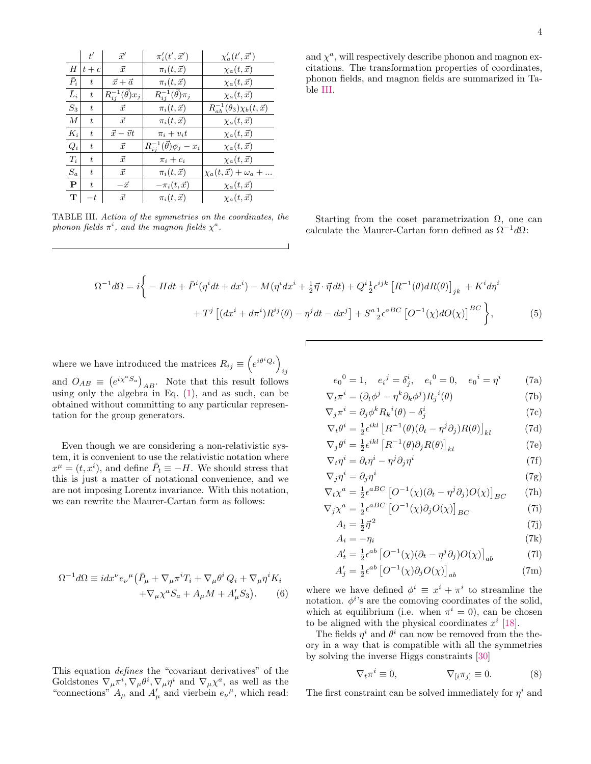|                  | $t^{\prime}$ | $\vec{x}'$                     | $\pi'_i(t',\vec{x}')$                   | $\chi_a'(t',\vec{x}')$                   |
|------------------|--------------|--------------------------------|-----------------------------------------|------------------------------------------|
| Н                | $t+c$        | $\vec{x}$                      | $\pi_i(t,\vec{x})$                      | $\chi_a(t, \vec{x})$                     |
| $\bar{P}_i$      | t.           | $\vec{x} + \vec{a}$            | $\pi_i(t,\vec{x})$                      | $\chi_a(t, \vec{x})$                     |
| $\bar{L}_i$      | t.           | $R_{ij}^{-1}(\vec{\theta})x_j$ | $R_{ij}^{-1}(\vec{\theta})\pi_j$        | $\chi_a(t, \vec{x})$                     |
| $S_3$            | t            | $\vec{x}$                      | $\pi_i(t,\vec{x})$                      | $R_{ab}^{-1}(\theta_3)\chi_b(t,\vec{x})$ |
| $\boldsymbol{M}$ | t.           | $\vec{x}$                      | $\pi_i(t,\vec{x})$                      | $\chi_a(t,\vec{x})$                      |
| $K_i$            | t            | $\vec{x} - \vec{v}t$           | $\pi_i + v_i t$                         | $\chi_a(t,\vec{x})$                      |
| $Q_i$            | t.           | $\vec{x}$                      | $R_{ij}^{-1}(\vec{\theta})\phi_j - x_i$ | $\chi_a(t,\vec{x})$                      |
| $T_i$            | t.           | $\vec{x}$                      | $\pi_i + c_i$                           | $\chi_a(t, \vec{x})$                     |
| $S_a$            | t.           | $\vec{x}$                      | $\pi_i(t,\vec{x})$                      | $\chi_a(t, \vec{x}) + \omega_a + $       |
| $\mathbf{P}$     | t.           | $-\vec{x}$                     | $-\pi_i(t,\vec{x})$                     | $\chi_a(t, \vec{x})$                     |
| T                | $-t$         | $\vec{x}$                      | $\pi_i(t,\vec{x})$                      | $\chi_a(t,\vec{x})$                      |

<span id="page-3-0"></span>TABLE III. Action of the symmetries on the coordinates, the phonon fields  $\pi^i$ , and the magnon fields  $\chi^a$ .

and  $\chi^a$ , will respectively describe phonon and magnon excitations. The transformation properties of coordinates, phonon fields, and magnon fields are summarized in Table [III.](#page-3-0)

Starting from the coset parametrization  $\Omega$ , one can calculate the Maurer-Cartan form defined as  $\Omega^{-1}d\Omega$ :

$$
\Omega^{-1}d\Omega = i \bigg\{ - Hdt + \bar{P}^i(\eta^i dt + dx^i) - M(\eta^i dx^i + \frac{1}{2}\vec{\eta} \cdot \vec{\eta} dt) + Q^i \frac{1}{2} \epsilon^{ijk} \left[ R^{-1}(\theta) dR(\theta) \right]_{jk} + K^i d\eta^i
$$

$$
+ T^j \left[ (dx^i + d\pi^i) R^{ij}(\theta) - \eta^j dt - dx^j \right] + S^a \frac{1}{2} \epsilon^{aBC} \left[ O^{-1}(\chi) dO(\chi) \right]^{BC} \bigg\},\tag{5}
$$

where we have introduced the matrices  $R_{ij} \equiv \left(e^{i\theta^i Q_i}\right)^{i}$ ij and  $O_{AB} \equiv (e^{i\chi^a S_a})_{AB}$ . Note that this result follows using only the algebra in Eq.  $(1)$ , and as such, can be obtained without committing to any particular representation for the group generators.

Even though we are considering a non-relativistic system, it is convenient to use the relativistic notation where  $x^{\mu} = (t, x^{i})$ , and define  $\bar{P}_t \equiv -H$ . We should stress that this is just a matter of notational convenience, and we are not imposing Lorentz invariance. With this notation, we can rewrite the Maurer-Cartan form as follows:

$$
\Omega^{-1}d\Omega \equiv i dx^{\nu} e_{\nu}{}^{\mu} (\bar{P}_{\mu} + \nabla_{\mu} \pi^{i} T_{i} + \nabla_{\mu} \theta^{i} Q_{i} + \nabla_{\mu} \eta^{i} K_{i} + \nabla_{\mu} \chi^{a} S_{a} + A_{\mu} M + A'_{\mu} S_{3}).
$$
 (6)

This equation defines the "covariant derivatives" of the Goldstones  $\nabla_{\mu} \pi^i$ ,  $\nabla_{\mu} \theta^i$ ,  $\nabla_{\mu} \eta^i$  and  $\nabla_{\mu} \chi^a$ , as well as the "connections"  $A_\mu$  and  $A'_\mu$  and vierbein  $e_\nu{}^\mu$ , which read:

<span id="page-3-1"></span>
$$
e_0^0 = 1
$$
,  $e_i^j = \delta_j^i$ ,  $e_i^0 = 0$ ,  $e_0^i = \eta^i$  (7a)

$$
\nabla_t \pi^i = (\partial_t \phi^j - \eta^k \partial_k \phi^j) R_j{}^i(\theta)
$$
\n(7b)

$$
\nabla_j \pi^i = \partial_j \phi^k R_k{}^i(\theta) - \delta^i_j \tag{7c}
$$

$$
\nabla_t \theta^i = \frac{1}{2} \epsilon^{ikl} \left[ R^{-1}(\theta) (\partial_t - \eta^j \partial_j) R(\theta) \right]_{kl} \tag{7d}
$$

$$
\nabla_j \theta^i = \frac{1}{2} \epsilon^{ikl} \left[ R^{-1}(\theta) \partial_j R(\theta) \right]_{kl} \tag{7e}
$$

$$
\nabla_t \eta^i = \partial_t \eta^i - \eta^j \partial_j \eta^i \tag{7f}
$$
\n
$$
\nabla_x \eta^i = \partial_x \eta^i \tag{7g}
$$

$$
\nabla_j \eta^i = \partial_j \eta^i \tag{7g}
$$
\n
$$
\nabla_t \chi^a = \frac{1}{2} \epsilon^{aBC} \left[ O^{-1}(\chi)(\partial_t - \eta^j \partial_i) O(\chi) \right]_{DC} \tag{7h}
$$

$$
\nabla_t \chi^a = \frac{1}{2} \epsilon^{aBC} \left[ O^{-1}(\chi) (\partial_t - \eta^j \partial_j) O(\chi) \right]_{BC} \qquad (7h)
$$
  

$$
\nabla_j \chi^a = \frac{1}{2} \epsilon^{aBC} \left[ O^{-1}(\chi) \partial_j O(\chi) \right]_{BC} \qquad (7i)
$$

$$
V_j \chi^a = \frac{1}{2} \epsilon^{aBC} \left[ O^{-1}(\chi) \partial_j O(\chi) \right]_{BC}
$$
\n
$$
A_t = \frac{1}{2} \vec{\eta}^2
$$
\n(7i)

$$
A_i = -\eta_i \tag{7k}
$$

$$
A'_{t} = \frac{1}{2} \epsilon^{ab} \left[ O^{-1}(\chi)(\partial_{t} - \eta^{j} \partial_{j}) O(\chi) \right]_{ab} \tag{7}
$$

$$
A'_{j} = \frac{1}{2} \epsilon^{ab} \left[ O^{-1}(\chi) \partial_{j} O(\chi) \right]_{ab} \tag{7m}
$$

where we have defined  $\phi^i \equiv x^i + \pi^i$  to streamline the notation.  $\phi^{i}$ 's are the comoving coordinates of the solid, which at equilibrium (i.e. when  $\pi^{i} = 0$ ), can be chosen to be aligned with the physical coordinates  $x^i$  [\[18\]](#page-16-8).

The fields  $\eta^i$  and  $\theta^i$  can now be removed from the theory in a way that is compatible with all the symmetries by solving the inverse Higgs constraints [\[30\]](#page-16-14)

<span id="page-3-2"></span>
$$
\nabla_t \pi^i \equiv 0, \qquad \qquad \nabla_{[i} \pi_{j]} \equiv 0. \qquad (8)
$$

The first constraint can be solved immediately for  $\eta^i$  and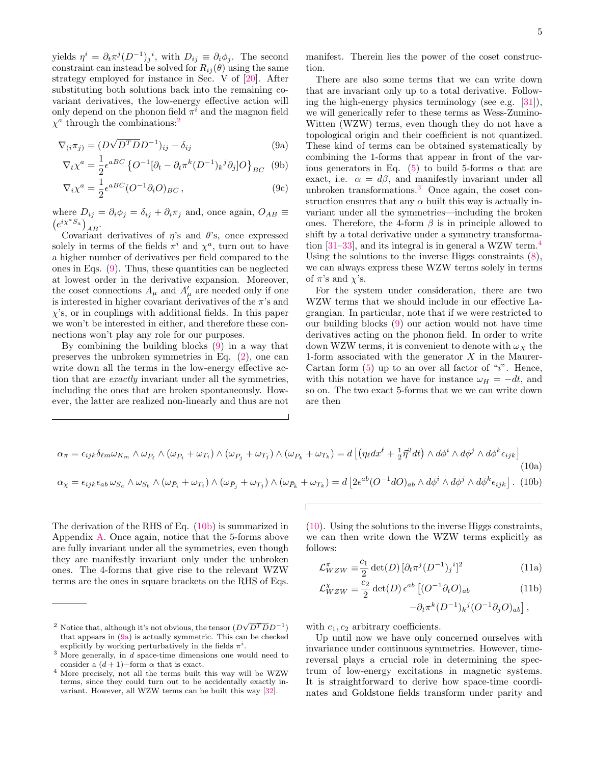yields  $\eta^i = \partial_t \pi^j (D^{-1})_j{}^i$ , with  $D_{ij} \equiv \partial_i \phi_j$ . The second constraint can instead be solved for  $R_{ij}(\theta)$  using the same strategy employed for instance in Sec. V of [\[20\]](#page-16-9). After substituting both solutions back into the remaining covariant derivatives, the low-energy effective action will only depend on the phonon field  $\pi^i$  and the magnon field  $\chi^a$  through the combinations:<sup>[2](#page-4-0)</sup>

$$
\nabla_{(i}\pi_{j)} = (D\sqrt{D^T D}D^{-1})_{ij} - \delta_{ij}
$$
\n(9a)

$$
\nabla_t \chi^a = \frac{1}{2} \epsilon^{aBC} \left\{ O^{-1} [\partial_t - \partial_t \pi^k (D^{-1})_k{}^j \partial_j] O \right\}_{BC} \tag{9b}
$$

$$
\nabla_i \chi^a = \frac{1}{2} \epsilon^{aBC} (O^{-1} \partial_i O)_{BC}, \qquad (9c)
$$

where  $D_{ij} = \partial_i \phi_j = \delta_{ij} + \partial_i \pi_j$  and, once again,  $O_{AB} \equiv$  $\left(e^{i\chi^a S_a}\right)_{AB}$ 

Covariant derivatives of  $\eta$ 's and  $\theta$ 's, once expressed solely in terms of the fields  $\pi^i$  and  $\chi^a$ , turn out to have a higher number of derivatives per field compared to the ones in Eqs. [\(9\)](#page-4-1). Thus, these quantities can be neglected at lowest order in the derivative expansion. Moreover, the coset connections  $A_{\mu}$  and  $A'_{\mu}$  are needed only if one is interested in higher covariant derivatives of the  $\pi$ 's and  $\chi$ 's, or in couplings with additional fields. In this paper we won't be interested in either, and therefore these connections won't play any role for our purposes.

By combining the building blocks [\(9\)](#page-4-1) in a way that preserves the unbroken symmetries in Eq. [\(2\)](#page-2-2), one can write down all the terms in the low-energy effective action that are exactly invariant under all the symmetries, including the ones that are broken spontaneously. However, the latter are realized non-linearly and thus are not manifest. Therein lies the power of the coset construction.

<span id="page-4-8"></span><span id="page-4-5"></span><span id="page-4-1"></span>There are also some terms that we can write down that are invariant only up to a total derivative. Following the high-energy physics terminology (see e.g. [\[31\]](#page-16-18)), we will generically refer to these terms as Wess-Zumino-Witten (WZW) terms, even though they do not have a topological origin and their coefficient is not quantized. These kind of terms can be obtained systematically by combining the 1-forms that appear in front of the var-ious generators in Eq. [\(5\)](#page-3-1) to build 5-forms  $\alpha$  that are exact, i.e.  $\alpha = d\beta$ , and manifestly invariant under all unbroken transformations.[3](#page-4-2) Once again, the coset construction ensures that any  $\alpha$  built this way is actually invariant under all the symmetries—including the broken ones. Therefore, the 4-form  $\beta$  is in principle allowed to shift by a total derivative under a symmetry transformation  $[31-33]$  $[31-33]$ , and its integral is in general a WZW term.<sup>[4](#page-4-3)</sup> Using the solutions to the inverse Higgs constraints [\(8\)](#page-3-2), we can always express these WZW terms solely in terms of  $\pi$ 's and  $\chi$ 's.

For the system under consideration, there are two WZW terms that we should include in our effective Lagrangian. In particular, note that if we were restricted to our building blocks [\(9\)](#page-4-1) our action would not have time derivatives acting on the phonon field. In order to write down WZW terms, it is convenient to denote with  $\omega_X$  the 1-form associated with the generator  $X$  in the Maurer-Cartan form  $(5)$  up to an over all factor of "i". Hence, with this notation we have for instance  $\omega_H = -dt$ , and so on. The two exact 5-forms that we we can write down are then

<span id="page-4-6"></span>
$$
\alpha_{\pi} = \epsilon_{ijk}\delta_{\ell m}\omega_{K_m} \wedge \omega_{\bar{P}_{\ell}} \wedge (\omega_{\bar{P}_{i}} + \omega_{T_{i}}) \wedge (\omega_{\bar{P}_{j}} + \omega_{T_{j}}) \wedge (\omega_{\bar{P}_{k}} + \omega_{T_{k}}) = d\left[ \left( \eta_{\ell} dx^{\ell} + \frac{1}{2} \vec{\eta}^{2} dt \right) \wedge d\phi^{i} \wedge d\phi^{j} \wedge d\phi^{k} \epsilon_{ijk} \right]
$$
\n
$$
\alpha_{\chi} = \epsilon_{ijk}\epsilon_{ab}\,\omega_{S_{a}} \wedge \omega_{S_{b}} \wedge (\omega_{\bar{P}_{i}} + \omega_{T_{i}}) \wedge (\omega_{\bar{P}_{j}} + \omega_{T_{j}}) \wedge (\omega_{\bar{P}_{k}} + \omega_{T_{k}}) = d\left[ 2\epsilon^{ab} (O^{-1} dO)_{ab} \wedge d\phi^{i} \wedge d\phi^{j} \wedge d\phi^{k} \epsilon_{ijk} \right]. \tag{10b}
$$

The derivation of the RHS of Eq. [\(10b\)](#page-4-4) is summarized in Appendix [A.](#page-15-0) Once again, notice that the 5-forms above are fully invariant under all the symmetries, even though they are manifestly invariant only under the unbroken ones. The 4-forms that give rise to the relevant WZW terms are the ones in square brackets on the RHS of Eqs.

[\(10\)](#page-4-6). Using the solutions to the inverse Higgs constraints, we can then write down the WZW terms explicitly as follows:

<span id="page-4-7"></span>
$$
\mathcal{L}_{WZW}^{\pi} \equiv \frac{c_1}{2} \det(D) \left[ \partial_t \pi^j (D^{-1})_j{}^i \right]^2 \tag{11a}
$$

$$
\mathcal{L}_{WZW}^{\chi} \equiv \frac{c_2}{2} \det(D) \epsilon^{ab} \left[ (O^{-1} \partial_t O)_{ab} \right] \tag{11b}
$$

<span id="page-4-4"></span>
$$
-\partial_t \pi^k (D^{-1})_k{}^j (O^{-1} \partial_j O)_{ab} \Big] \,,
$$

with  $c_1, c_2$  arbitrary coefficients.

Up until now we have only concerned ourselves with invariance under continuous symmetries. However, timereversal plays a crucial role in determining the spectrum of low-energy excitations in magnetic systems. It is straightforward to derive how space-time coordinates and Goldstone fields transform under parity and

<span id="page-4-0"></span><sup>&</sup>lt;sup>2</sup> Notice that, although it's not obvious, the tensor  $(D\sqrt{D^T D}D^{-1})$ that appears in [\(9a\)](#page-4-5) is actually symmetric. This can be checked explicitly by working perturbatively in the fields  $\pi^i$ .

<span id="page-4-2"></span> $\frac{3}{3}$  More generally, in  $\tilde{d}$  space-time dimensions one would need to consider a  $(d+1)$ –form  $\alpha$  that is exact.

<span id="page-4-3"></span><sup>4</sup> More precisely, not all the terms built this way will be WZW terms, since they could turn out to be accidentally exactly invariant. However, all WZW terms can be built this way [\[32\]](#page-16-20).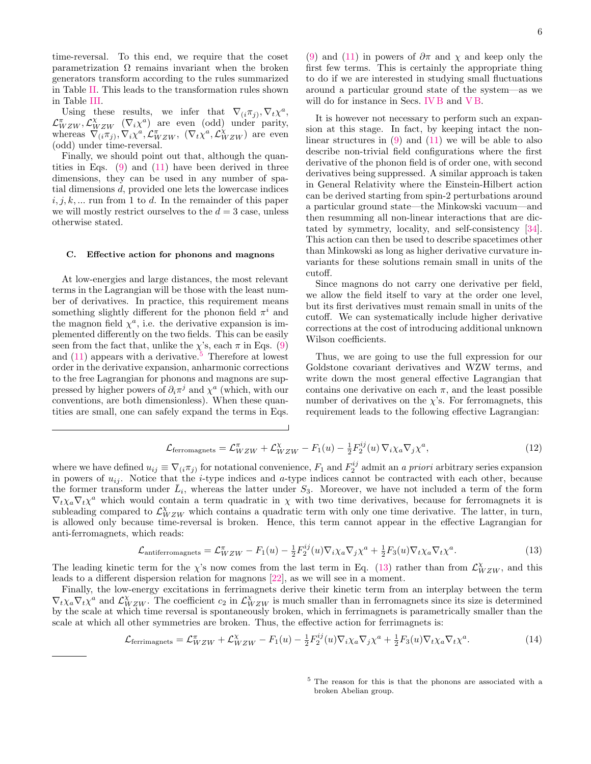time-reversal. To this end, we require that the coset parametrization  $\Omega$  remains invariant when the broken generators transform according to the rules summarized in Table [II.](#page-1-3) This leads to the transformation rules shown in Table [III.](#page-3-0)

Using these results, we infer that  $\nabla_{(i}\pi_{j)}, \nabla_{t}\chi^{a}$ ,  $\mathcal{L}_{WZW}^{\pi}$ ,  $\mathcal{L}_{WZW}^{\chi}$  ( $\nabla_i \chi^a$ ) are even (odd) under parity, whereas  $\nabla_{(i\pi_{j})}^{WZW}$ ,  $\nabla_{i}\chi^{a}$ ,  $\mathcal{L}_{WZW}^{\pi}$ ,  $(\nabla_{t}\chi^{a}, \mathcal{L}_{WZW}^{\chi})$  are even (odd) under time-reversal.

Finally, we should point out that, although the quantities in Eqs.  $(9)$  and  $(11)$  have been derived in three dimensions, they can be used in any number of spatial dimensions d, provided one lets the lowercase indices  $i, j, k, \dots$  run from 1 to d. In the remainder of this paper we will mostly restrict ourselves to the  $d = 3$  case, unless otherwise stated.

#### <span id="page-5-0"></span>C. Effective action for phonons and magnons

At low-energies and large distances, the most relevant terms in the Lagrangian will be those with the least number of derivatives. In practice, this requirement means something slightly different for the phonon field  $\pi^i$  and the magnon field  $\chi^a$ , i.e. the derivative expansion is implemented differently on the two fields. This can be easily seen from the fact that, unlike the  $\chi$ 's, each  $\pi$  in Eqs. [\(9\)](#page-4-1) and  $(11)$  appears with a derivative.<sup>[5](#page-5-1)</sup> Therefore at lowest order in the derivative expansion, anharmonic corrections to the free Lagrangian for phonons and magnons are suppressed by higher powers of  $\partial_i \pi^j$  and  $\chi^a$  (which, with our conventions, are both dimensionless). When these quantities are small, one can safely expand the terms in Eqs.

[\(9\)](#page-4-1) and [\(11\)](#page-4-7) in powers of  $\partial \pi$  and  $\chi$  and keep only the first few terms. This is certainly the appropriate thing to do if we are interested in studying small fluctuations around a particular ground state of the system—as we will do for instance in Secs. [IV B](#page-6-2) and [V B.](#page-8-1)

It is however not necessary to perform such an expansion at this stage. In fact, by keeping intact the nonlinear structures in  $(9)$  and  $(11)$  we will be able to also describe non-trivial field configurations where the first derivative of the phonon field is of order one, with second derivatives being suppressed. A similar approach is taken in General Relativity where the Einstein-Hilbert action can be derived starting from spin-2 perturbations around a particular ground state—the Minkowski vacuum—and then resumming all non-linear interactions that are dictated by symmetry, locality, and self-consistency [\[34\]](#page-16-21). This action can then be used to describe spacetimes other than Minkowski as long as higher derivative curvature invariants for these solutions remain small in units of the cutoff.

Since magnons do not carry one derivative per field, we allow the field itself to vary at the order one level, but its first derivatives must remain small in units of the cutoff. We can systematically include higher derivative corrections at the cost of introducing additional unknown Wilson coefficients.

Thus, we are going to use the full expression for our Goldstone covariant derivatives and WZW terms, and write down the most general effective Lagrangian that contains one derivative on each  $\pi$ , and the least possible number of derivatives on the  $\chi$ 's. For ferromagnets, this requirement leads to the following effective Lagrangian:

$$
\mathcal{L}_{\text{ferromagnets}} = \mathcal{L}_{WZW}^{\pi} + \mathcal{L}_{WZW}^{\chi} - F_1(u) - \frac{1}{2} F_2^{ij}(u) \nabla_i \chi_a \nabla_j \chi^a, \tag{12}
$$

where we have defined  $u_{ij} \equiv \nabla_{(i} \pi_{j)}$  for notational convenience,  $F_1$  and  $F_2^{ij}$  admit an a priori arbitrary series expansion in powers of  $u_{ij}$ . Notice that the *i*-type indices and *a*-type indices cannot be contracted with each other, because the former transform under  $\bar{L}_i$ , whereas the latter under  $S_3$ . Moreover, we have not included a term of the form  $\nabla_t \chi_a \nabla_t \chi^a$  which would contain a term quadratic in  $\chi$  with two time derivatives, because for ferromagnets it is subleading compared to  $\mathcal{L}_{WZW}^{\chi}$  which contains a quadratic term with only one time derivative. The latter, in turn, is allowed only because time-reversal is broken. Hence, this term cannot appear in the effective Lagrangian for anti-ferromagnets, which reads:

$$
\mathcal{L}_{antiferromagnets} = \mathcal{L}_{WZW}^{\pi} - F_1(u) - \frac{1}{2} F_2^{ij}(u) \nabla_i \chi_a \nabla_j \chi^a + \frac{1}{2} F_3(u) \nabla_t \chi_a \nabla_t \chi^a.
$$
 (13)

The leading kinetic term for the  $\chi$ 's now comes from the last term in Eq. [\(13\)](#page-5-2) rather than from  $\mathcal{L}_{WZW}^{\chi}$ , and this leads to a different dispersion relation for magnons [\[22\]](#page-16-11), as we will see in a moment.

Finally, the low-energy excitations in ferrimagnets derive their kinetic term from an interplay between the term  $\nabla_t \chi_a \nabla_t \chi^a$  and  $\mathcal{L}_{WZW}^{\chi}$ . The coefficient  $c_2$  in  $\mathcal{L}_{WZW}^{\chi}$  is much smaller than in ferromagnets since its size is determined by the scale at which time reversal is spontaneously broken, which in ferrimagnets is parametrically smaller than the scale at which all other symmetries are broken. Thus, the effective action for ferrimagnets is:

$$
\mathcal{L}_{\text{ferrimagnets}} = \mathcal{L}_{WZW}^{\pi} + \mathcal{L}_{WZW}^{\chi} - F_1(u) - \frac{1}{2} F_2^{ij}(u) \nabla_i \chi_a \nabla_j \chi^a + \frac{1}{2} F_3(u) \nabla_t \chi_a \nabla_t \chi^a. \tag{14}
$$

<span id="page-5-3"></span><span id="page-5-2"></span><span id="page-5-1"></span><sup>5</sup> The reason for this is that the phonons are associated with a broken Abelian group.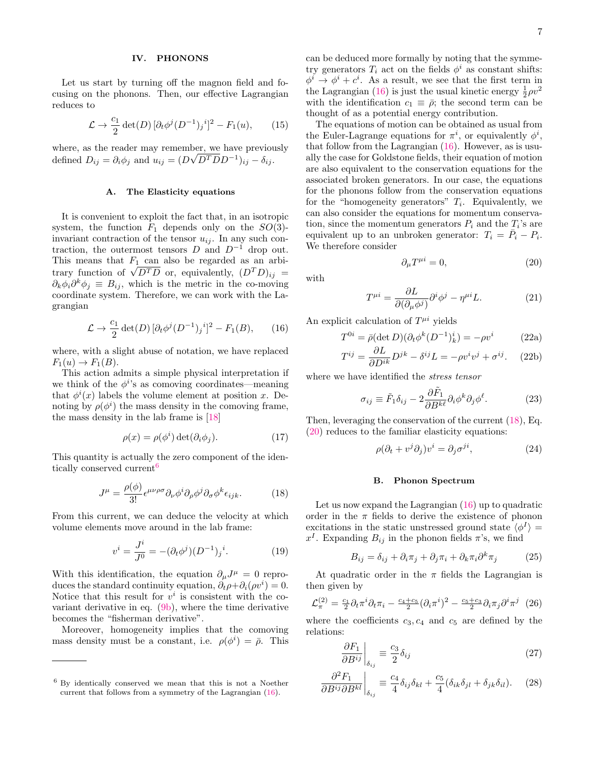## <span id="page-6-0"></span>IV. PHONONS

Let us start by turning off the magnon field and focusing on the phonons. Then, our effective Lagrangian reduces to

$$
\mathcal{L} \to \frac{c_1}{2} \det(D) \left[ \partial_t \phi^j (D^{-1})_j{}^i \right]^2 - F_1(u), \qquad (15)
$$

where, as the reader may remember, we have previously defined  $D_{ij} = \partial_i \phi_j$  and  $u_{ij} = (D\sqrt{D^T D}D^{-1})_{ij} - \delta_{ij}$ .

#### <span id="page-6-1"></span>A. The Elasticity equations

It is convenient to exploit the fact that, in an isotropic system, the function  $F_1$  depends only on the  $SO(3)$ invariant contraction of the tensor  $u_{ij}$ . In any such contraction, the outermost tensors  $D$  and  $D^{-1}$  drop out. This means that  $F_1$  can also be regarded as an arbi-This means that  $F_1$  can also be regarded as an arbi-<br>trary function of  $\sqrt{D^T D}$  or, equivalently,  $(D^T D)_{ij} =$  $\partial_k \phi_i \partial^k \phi_j \equiv B_{ij}$ , which is the metric in the co-moving coordinate system. Therefore, we can work with the Lagrangian

<span id="page-6-4"></span>
$$
\mathcal{L} \to \frac{c_1}{2} \det(D) \left[ \partial_t \phi^j (D^{-1})_j{}^i \right]^2 - F_1(B), \qquad (16)
$$

where, with a slight abuse of notation, we have replaced  $F_1(u) \rightarrow F_1(B)$ .

This action admits a simple physical interpretation if we think of the  $\phi^{i}$ 's as comoving coordinates—meaning that  $\phi^{i}(x)$  labels the volume element at position x. Denoting by  $\rho(\phi^i)$  the mass density in the comoving frame, the mass density in the lab frame is [\[18\]](#page-16-8)

$$
\rho(x) = \rho(\phi^i) \det(\partial_i \phi_j). \tag{17}
$$

This quantity is actually the zero component of the iden-tically conserved current<sup>[6](#page-6-3)</sup>

<span id="page-6-5"></span>
$$
J^{\mu} = \frac{\rho(\phi)}{3!} \epsilon^{\mu\nu\rho\sigma} \partial_{\nu} \phi^{i} \partial_{\rho} \phi^{j} \partial_{\sigma} \phi^{k} \epsilon_{ijk}.
$$
 (18)

From this current, we can deduce the velocity at which volume elements move around in the lab frame:

$$
v^{i} = \frac{J^{i}}{J^{0}} = -(\partial_{t}\phi^{j})(D^{-1})_{j}^{i}.
$$
 (19)

With this identification, the equation  $\partial_{\mu}J^{\mu} = 0$  reproduces the standard continuity equation,  $\partial_t \rho + \partial_i (\rho v^i) = 0$ . Notice that this result for  $v^i$  is consistent with the covariant derivative in eq. [\(9b\)](#page-4-8), where the time derivative becomes the "fisherman derivative".

Moreover, homogeneity implies that the comoving mass density must be a constant, i.e.  $\rho(\phi^i) = \bar{\rho}$ . This can be deduced more formally by noting that the symmetry generators  $T_i$  act on the fields  $\phi^i$  as constant shifts:  $\phi^i \to \phi^i + c^i$ . As a result, we see that the first term in the Lagrangian [\(16\)](#page-6-4) is just the usual kinetic energy  $\frac{1}{2}\rho v^2$ with the identification  $c_1 \equiv \bar{\rho}$ ; the second term can be thought of as a potential energy contribution.

The equations of motion can be obtained as usual from the Euler-Lagrange equations for  $\pi^i$ , or equivalently  $\phi^i$ , that follow from the Lagrangian  $(16)$ . However, as is usually the case for Goldstone fields, their equation of motion are also equivalent to the conservation equations for the associated broken generators. In our case, the equations for the phonons follow from the conservation equations for the "homogeneity generators"  $T_i$ . Equivalently, we can also consider the equations for momentum conservation, since the momentum generators  $P_i$  and the  $T_i$ 's are equivalent up to an unbroken generator:  $T_i = \overline{P}_i - P_i$ . We therefore consider

<span id="page-6-6"></span>
$$
\partial_{\mu}T^{\mu i} = 0,\tag{20}
$$

with

$$
T^{\mu i} = \frac{\partial L}{\partial(\partial_{\mu}\phi^j)} \partial^i \phi^j - \eta^{\mu i} L. \tag{21}
$$

An explicit calculation of  $T^{\mu i}$  yields

$$
T^{0i} = \bar{\rho}(\det D)(\partial_t \phi^k (D^{-1})^i_k) = -\rho v^i \tag{22a}
$$

$$
T^{ij} = \frac{\partial L}{\partial D^{ik}} D^{jk} - \delta^{ij} L = -\rho v^i v^j + \sigma^{ij}.
$$
 (22b)

where we have identified the stress tensor

$$
\sigma_{ij} \equiv \tilde{F}_1 \delta_{ij} - 2 \frac{\partial \tilde{F}_1}{\partial B^{k\ell}} \partial_i \phi^k \partial_j \phi^\ell.
$$
 (23)

Then, leveraging the conservation of the current [\(18\)](#page-6-5), Eq. [\(20\)](#page-6-6) reduces to the familiar elasticity equations:

$$
\rho(\partial_t + v^j \partial_j)v^i = \partial_j \sigma^{ji},\tag{24}
$$

#### <span id="page-6-2"></span>B. Phonon Spectrum

Let us now expand the Lagrangian [\(16\)](#page-6-4) up to quadratic order in the  $\pi$  fields to derive the existence of phonon excitations in the static unstressed ground state  $\langle \phi^I \rangle =$  $x^I$ . Expanding  $B_{ij}$  in the phonon fields  $\pi$ 's, we find

$$
B_{ij} = \delta_{ij} + \partial_i \pi_j + \partial_j \pi_i + \partial_k \pi_i \partial^k \pi_j \tag{25}
$$

At quadratic order in the  $\pi$  fields the Lagrangian is then given by

<span id="page-6-7"></span>
$$
\mathcal{L}_{\pi}^{(2)} = \frac{c_1}{2} \partial_t \pi^i \partial_t \pi_i - \frac{c_4 + c_5}{2} (\partial_i \pi^i)^2 - \frac{c_5 + c_3}{2} \partial_i \pi_j \partial^i \pi^j \tag{26}
$$

where the coefficients  $c_3, c_4$  and  $c_5$  are defined by the relations:

$$
\left. \frac{\partial F_1}{\partial B^{ij}} \right|_{\delta_{ij}} \equiv \frac{c_3}{2} \delta_{ij} \tag{27}
$$

$$
\frac{\partial^2 F_1}{\partial B^{ij} \partial B^{kl}}\bigg|_{\delta_{ij}} \equiv \frac{c_4}{4} \delta_{ij} \delta_{kl} + \frac{c_5}{4} (\delta_{ik} \delta_{jl} + \delta_{jk} \delta_{il}). \tag{28}
$$

<span id="page-6-3"></span><sup>6</sup> By identically conserved we mean that this is not a Noether current that follows from a symmetry of the Lagrangian [\(16\)](#page-6-4).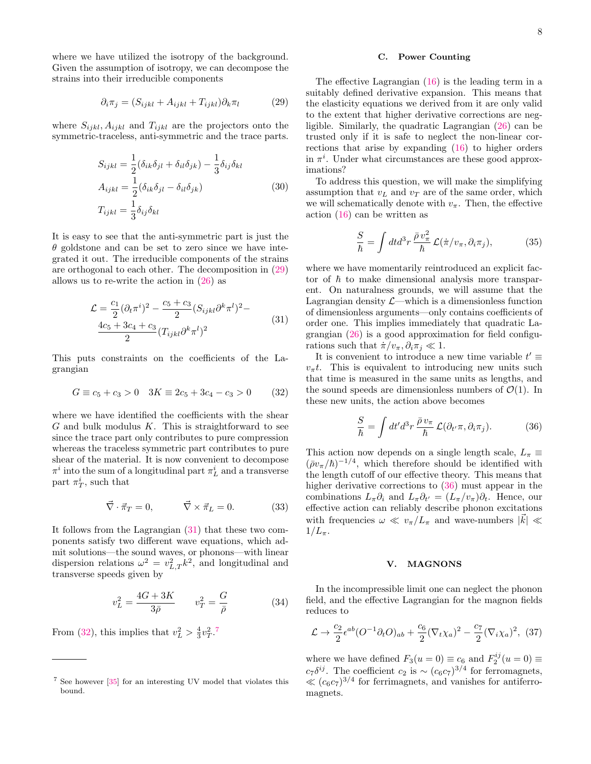where we have utilized the isotropy of the background. Given the assumption of isotropy, we can decompose the strains into their irreducible components

<span id="page-7-2"></span>
$$
\partial_i \pi_j = (S_{ijkl} + A_{ijkl} + T_{ijkl}) \partial_k \pi_l \tag{29}
$$

where  $S_{ijkl}, A_{ijkl}$  and  $T_{ijkl}$  are the projectors onto the symmetric-traceless, anti-symmetric and the trace parts.

$$
S_{ijkl} = \frac{1}{2} (\delta_{ik}\delta_{jl} + \delta_{il}\delta_{jk}) - \frac{1}{3}\delta_{ij}\delta_{kl}
$$
  
\n
$$
A_{ijkl} = \frac{1}{2} (\delta_{ik}\delta_{jl} - \delta_{il}\delta_{jk})
$$
  
\n
$$
T_{ijkl} = \frac{1}{3}\delta_{ij}\delta_{kl}
$$
\n(30)

It is easy to see that the anti-symmetric part is just the  $\theta$  goldstone and can be set to zero since we have integrated it out. The irreducible components of the strains are orthogonal to each other. The decomposition in [\(29\)](#page-7-2) allows us to re-write the action in  $(26)$  as

$$
\mathcal{L} = \frac{c_1}{2} (\partial_t \pi^i)^2 - \frac{c_5 + c_3}{2} (S_{ijkl} \partial^k \pi^l)^2 - \frac{4c_5 + 3c_4 + c_3}{2} (T_{ijkl} \partial^k \pi^l)^2
$$
\n(31)

<span id="page-7-3"></span>This puts constraints on the coefficients of the Lagrangian

<span id="page-7-4"></span>
$$
G \equiv c_5 + c_3 > 0 \quad 3K \equiv 2c_5 + 3c_4 - c_3 > 0 \tag{32}
$$

where we have identified the coefficients with the shear  $G$  and bulk modulus  $K$ . This is straightforward to see since the trace part only contributes to pure compression whereas the traceless symmetric part contributes to pure shear of the material. It is now convenient to decompose  $\pi^i$  into the sum of a longitudinal part  $\pi^i_L$  and a transverse part  $\pi_T^i$ , such that

$$
\vec{\nabla} \cdot \vec{\pi}_T = 0, \qquad \vec{\nabla} \times \vec{\pi}_L = 0. \tag{33}
$$

It follows from the Lagrangian [\(31\)](#page-7-3) that these two components satisfy two different wave equations, which admit solutions—the sound waves, or phonons—with linear dispersion relations  $\omega^2 = v_{L,T}^2 k^2$ , and longitudinal and transverse speeds given by

$$
v_L^2 = \frac{4G + 3K}{3\bar{\rho}} \qquad v_T^2 = \frac{G}{\bar{\rho}} \tag{34}
$$

From [\(32\)](#page-7-4), this implies that  $v_L^2 > \frac{4}{3}v_T^2$ .<sup>[7](#page-7-5)</sup>

### <span id="page-7-0"></span>C. Power Counting

The effective Lagrangian [\(16\)](#page-6-4) is the leading term in a suitably defined derivative expansion. This means that the elasticity equations we derived from it are only valid to the extent that higher derivative corrections are negligible. Similarly, the quadratic Lagrangian [\(26\)](#page-6-7) can be trusted only if it is safe to neglect the non-linear corrections that arise by expanding [\(16\)](#page-6-4) to higher orders in  $\pi^i$ . Under what circumstances are these good approximations?

To address this question, we will make the simplifying assumption that  $v<sub>L</sub>$  and  $v<sub>T</sub>$  are of the same order, which we will schematically denote with  $v_{\pi}$ . Then, the effective action [\(16\)](#page-6-4) can be written as

$$
\frac{S}{\hbar} = \int dt d^3r \, \frac{\bar{\rho} \, v_{\pi}^2}{\hbar} \, \mathcal{L}(\dot{\pi}/v_{\pi}, \partial_i \pi_j), \tag{35}
$$

where we have momentarily reintroduced an explicit factor of  $\hbar$  to make dimensional analysis more transparent. On naturalness grounds, we will assume that the Lagrangian density  $\mathcal{L}$ —which is a dimensionless function of dimensionless arguments—only contains coefficients of order one. This implies immediately that quadratic Lagrangian [\(26\)](#page-6-7) is a good approximation for field configurations such that  $\dot{\pi}/v_{\pi}, \partial_i \pi_j \ll 1$ .

It is convenient to introduce a new time variable  $t' \equiv$  $v_{\pi}t$ . This is equivalent to introducing new units such that time is measured in the same units as lengths, and the sound speeds are dimensionless numbers of  $\mathcal{O}(1)$ . In these new units, the action above becomes

<span id="page-7-6"></span>
$$
\frac{S}{\hbar} = \int dt' d^3r \, \frac{\bar{\rho} \, v_{\pi}}{\hbar} \, \mathcal{L}(\partial_{t'} \pi, \partial_i \pi_j). \tag{36}
$$

This action now depends on a single length scale,  $L_{\pi} \equiv$  $(\bar{\rho}v_{\pi}/\hbar)^{-1/4}$ , which therefore should be identified with the length cutoff of our effective theory. This means that higher derivative corrections to  $(36)$  must appear in the combinations  $L_{\pi} \partial_i$  and  $L_{\pi} \partial_{t'} = (L_{\pi}/v_{\pi}) \partial_t$ . Hence, our effective action can reliably describe phonon excitations with frequencies  $\omega \ll v_{\pi}/L_{\pi}$  and wave-numbers  $|\vec{k}| \ll$  $1/L_\pi$ .

#### <span id="page-7-7"></span><span id="page-7-1"></span>V. MAGNONS

In the incompressible limit one can neglect the phonon field, and the effective Lagrangian for the magnon fields reduces to

$$
\mathcal{L} \to \frac{c_2}{2} \epsilon^{ab} (O^{-1} \partial_t O)_{ab} + \frac{c_6}{2} (\nabla_t \chi_a)^2 - \frac{c_7}{2} (\nabla_i \chi_a)^2, (37)
$$

where we have defined  $F_3(u=0) \equiv c_6$  and  $F_2^{ij}(u=0) \equiv$  $c_7\delta^{ij}$ . The coefficient  $c_2$  is ~  $(c_6c_7)^{3/4}$  for ferromagnets,  $\ll (c_6c_7)^{3/4}$  for ferrimagnets, and vanishes for antiferromagnets.

<span id="page-7-5"></span><sup>7</sup> See however [\[35\]](#page-16-22) for an interesting UV model that violates this bound.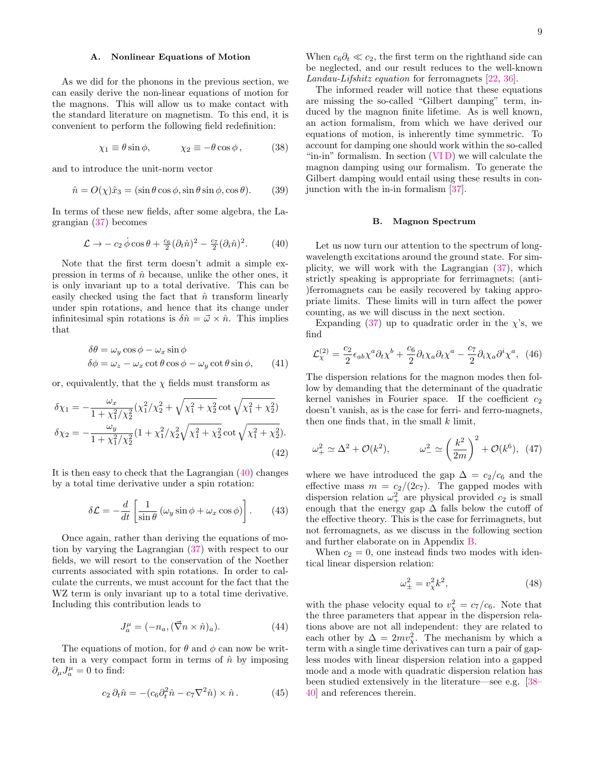### <span id="page-8-0"></span>A. Nonlinear Equations of Motion

As we did for the phonons in the previous section, we can easily derive the non-linear equations of motion for the magnons. This will allow us to make contact with the standard literature on magnetism. To this end, it is convenient to perform the following field redefinition:

$$
\chi_1 \equiv \theta \sin \phi, \qquad \qquad \chi_2 \equiv -\theta \cos \phi \,, \tag{38}
$$

and to introduce the unit-norm vector

<span id="page-8-5"></span>
$$
\hat{n} = O(\chi)\hat{x}_3 = (\sin\theta\cos\phi, \sin\theta\sin\phi, \cos\theta). \tag{39}
$$

In terms of these new fields, after some algebra, the Lagrangian [\(37\)](#page-7-7) becomes

<span id="page-8-2"></span>
$$
\mathcal{L} \to -c_2 \dot{\phi} \cos \theta + \frac{c_6}{2} (\partial_t \hat{n})^2 - \frac{c_7}{2} (\partial_i \hat{n})^2. \tag{40}
$$

Note that the first term doesn't admit a simple expression in terms of  $\hat{n}$  because, unlike the other ones, it is only invariant up to a total derivative. This can be easily checked using the fact that  $\hat{n}$  transform linearly under spin rotations, and hence that its change under infinitesimal spin rotations is  $\delta \hat{n} = \vec{\omega} \times \hat{n}$ . This implies that

$$
\delta\theta = \omega_y \cos\phi - \omega_x \sin\phi
$$
  

$$
\delta\phi = \omega_z - \omega_x \cot\theta \cos\phi - \omega_y \cot\theta \sin\phi,
$$
 (41)

or, equivalently, that the  $\chi$  fields must transform as

$$
\delta \chi_1 = -\frac{\omega_x}{1 + \chi_1^2/\chi_2^2} (\chi_1^2/\chi_2^2 + \sqrt{\chi_1^2 + \chi_2^2} \cot \sqrt{\chi_1^2 + \chi_2^2})
$$
  

$$
\delta \chi_2 = -\frac{\omega_y}{1 + \chi_1^2/\chi_2^2} (1 + \chi_1^2/\chi_2^2 \sqrt{\chi_1^2 + \chi_2^2} \cot \sqrt{\chi_1^2 + \chi_2^2}).
$$
\n(42)

It is then easy to check that the Lagrangian [\(40\)](#page-8-2) changes by a total time derivative under a spin rotation:

$$
\delta \mathcal{L} = -\frac{d}{dt} \left[ \frac{1}{\sin \theta} \left( \omega_y \sin \phi + \omega_x \cos \phi \right) \right]. \tag{43}
$$

Once again, rather than deriving the equations of motion by varying the Lagrangian [\(37\)](#page-7-7) with respect to our fields, we will resort to the conservation of the Noether currents associated with spin rotations. In order to calculate the currents, we must account for the fact that the WZ term is only invariant up to a total time derivative. Including this contribution leads to

$$
J_a^{\mu} = (-n_a, (\vec{\nabla} n \times \hat{n})_a). \tag{44}
$$

The equations of motion, for  $\theta$  and  $\phi$  can now be written in a very compact form in terms of  $\hat{n}$  by imposing  $\partial_{\mu}J^{\mu}_a=0$  to find:

$$
c_2 \,\partial_t \hat{n} = -(c_6 \partial_t^2 \hat{n} - c_7 \nabla^2 \hat{n}) \times \hat{n} \,. \tag{45}
$$

When  $c_6\partial_t \ll c_2$ , the first term on the righthand side can be neglected, and our result reduces to the well-known Landau-Lifshitz equation for ferromagnets [\[22,](#page-16-11) [36\]](#page-16-23).

The informed reader will notice that these equations are missing the so-called "Gilbert damping" term, induced by the magnon finite lifetime. As is well known, an action formalism, from which we have derived our equations of motion, is inherently time symmetric. To account for damping one should work within the so-called "in-in" formalism. In section [\(VI D\)](#page-11-0) we will calculate the magnon damping using our formalism. To generate the Gilbert damping would entail using these results in conjunction with the in-in formalism [\[37\]](#page-16-24).

## <span id="page-8-1"></span>B. Magnon Spectrum

Let us now turn our attention to the spectrum of longwavelength excitations around the ground state. For simplicity, we will work with the Lagrangian [\(37\)](#page-7-7), which strictly speaking is appropriate for ferrimagnets; (anti- )ferromagnets can be easily recovered by taking appropriate limits. These limits will in turn affect the power counting, as we will discuss in the next section.

Expanding [\(37\)](#page-7-7) up to quadratic order in the  $\chi$ 's, we find

<span id="page-8-3"></span>
$$
\mathcal{L}_{\chi}^{(2)} = \frac{c_2}{2} \epsilon_{ab} \chi^a \partial_t \chi^b + \frac{c_6}{2} \partial_t \chi_a \partial_t \chi^a - \frac{c_7}{2} \partial_i \chi_a \partial^i \chi^a, \tag{46}
$$

The dispersion relations for the magnon modes then follow by demanding that the determinant of the quadratic kernel vanishes in Fourier space. If the coefficient  $c_2$ doesn't vanish, as is the case for ferri- and ferro-magnets, then one finds that, in the small  $k$  limit,

<span id="page-8-4"></span>
$$
\omega_+^2 \simeq \Delta^2 + \mathcal{O}(k^2), \qquad \omega_-^2 \simeq \left(\frac{k^2}{2m}\right)^2 + \mathcal{O}(k^6), \tag{47}
$$

where we have introduced the gap  $\Delta = c_2/c_6$  and the effective mass  $m = c_2/(2c_7)$ . The gapped modes with dispersion relation  $\omega_+^2$  are physical provided  $c_2$  is small enough that the energy gap  $\Delta$  falls below the cutoff of the effective theory. This is the case for ferrimagnets, but not ferromagnets, as we discuss in the following section and further elaborate on in Appendix [B.](#page-15-1)

When  $c_2 = 0$ , one instead finds two modes with identical linear dispersion relation:

$$
\omega_{\pm}^2 = v_{\chi}^2 k^2,\tag{48}
$$

with the phase velocity equal to  $v_\chi^2 = c_7/c_6$ . Note that the three parameters that appear in the dispersion relations above are not all independent: they are related to each other by  $\Delta = 2mv_{\chi}^2$ . The mechanism by which a term with a single time derivatives can turn a pair of gapless modes with linear dispersion relation into a gapped mode and a mode with quadratic dispersion relation has been studied extensively in the literature—see e.g. [\[38–](#page-16-25) [40\]](#page-16-26) and references therein.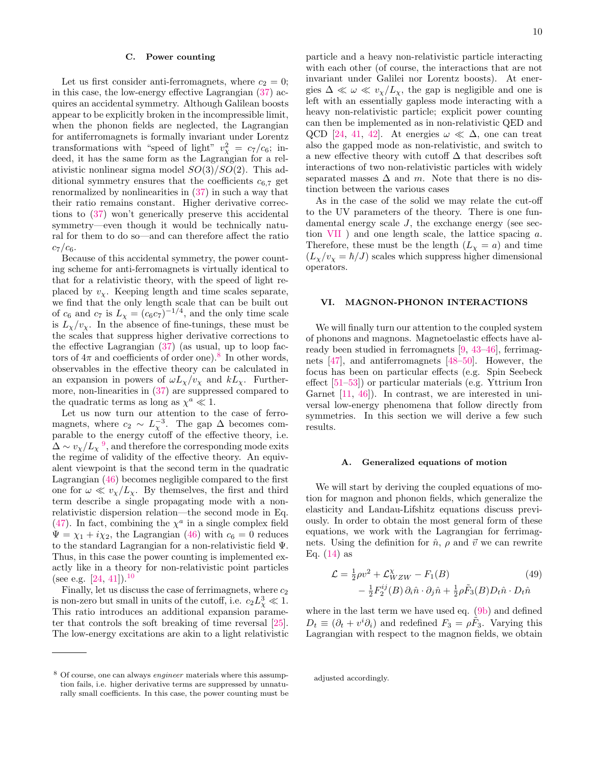### <span id="page-9-0"></span>C. Power counting

Let us first consider anti-ferromagnets, where  $c_2 = 0$ ; in this case, the low-energy effective Lagrangian [\(37\)](#page-7-7) acquires an accidental symmetry. Although Galilean boosts appear to be explicitly broken in the incompressible limit, when the phonon fields are neglected, the Lagrangian for antiferromagnets is formally invariant under Lorentz transformations with "speed of light"  $v_\chi^2 = c_7/c_6$ ; indeed, it has the same form as the Lagrangian for a relativistic nonlinear sigma model  $SO(3)/SO(2)$ . This additional symmetry ensures that the coefficients  $c_{6,7}$  get renormalized by nonlinearities in [\(37\)](#page-7-7) in such a way that their ratio remains constant. Higher derivative corrections to [\(37\)](#page-7-7) won't generically preserve this accidental symmetry—even though it would be technically natural for them to do so—and can therefore affect the ratio  $c_7/c_6$ .

Because of this accidental symmetry, the power counting scheme for anti-ferromagnets is virtually identical to that for a relativistic theory, with the speed of light replaced by  $v_\chi$ . Keeping length and time scales separate, we find that the only length scale that can be built out of  $c_6$  and  $c_7$  is  $L_\chi = (c_6 c_7)^{-1/4}$ , and the only time scale is  $L_{\chi}/v_{\chi}$ . In the absence of fine-tunings, these must be the scales that suppress higher derivative corrections to the effective Lagrangian [\(37\)](#page-7-7) (as usual, up to loop factors of  $4\pi$  and coefficients of order one).<sup>[8](#page-9-3)</sup> In other words, observables in the effective theory can be calculated in an expansion in powers of  $\omega L_{\chi}/v_{\chi}$  and  $kL_{\chi}$ . Furthermore, non-linearities in [\(37\)](#page-7-7) are suppressed compared to the quadratic terms as long as  $\chi^a \ll 1$ .

Let us now turn our attention to the case of ferromagnets, where  $c_2 \sim L_{\chi}^{-3}$ . The gap  $\Delta$  becomes comparable to the energy cutoff of the effective theory, i.e.  $\Delta \sim v_\chi/L_\chi^{-9}$  $\Delta \sim v_\chi/L_\chi^{-9}$  $\Delta \sim v_\chi/L_\chi^{-9}$ , and therefore the corresponding mode exits the regime of validity of the effective theory. An equivalent viewpoint is that the second term in the quadratic Lagrangian [\(46\)](#page-8-3) becomes negligible compared to the first one for  $\omega \ll v_{\chi}/L_{\chi}$ . By themselves, the first and third term describe a single propagating mode with a nonrelativistic dispersion relation—the second mode in Eq. [\(47\)](#page-8-4). In fact, combining the  $\chi^a$  in a single complex field  $\Psi = \chi_1 + i\chi_2$ , the Lagrangian [\(46\)](#page-8-3) with  $c_6 = 0$  reduces to the standard Lagrangian for a non-relativistic field Ψ. Thus, in this case the power counting is implemented exactly like in a theory for non-relativistic point particles (see e.g.  $[24, 41]$  $[24, 41]$ ).<sup>[10](#page-10-3)</sup>

Finally, let us discuss the case of ferrimagnets, where  $c_2$ is non-zero but small in units of the cutoff, i.e.  $c_2 L_\chi^3 \ll 1$ . This ratio introduces an additional expansion parameter that controls the soft breaking of time reversal [\[25\]](#page-16-15). The low-energy excitations are akin to a light relativistic

invariant under Galilei nor Lorentz boosts). At energies  $\Delta \ll \omega \ll v_{\chi}/L_{\chi}$ , the gap is negligible and one is left with an essentially gapless mode interacting with a heavy non-relativistic particle; explicit power counting can then be implemented as in non-relativistic QED and QCD [\[24,](#page-16-13) [41,](#page-16-27) [42\]](#page-16-28). At energies  $\omega \ll \Delta$ , one can treat also the gapped mode as non-relativistic, and switch to a new effective theory with cutoff  $\Delta$  that describes soft interactions of two non-relativistic particles with widely separated masses  $\Delta$  and m. Note that there is no distinction between the various cases

As in the case of the solid we may relate the cut-off to the UV parameters of the theory. There is one fundamental energy scale J, the exchange energy (see section [VII](#page-12-0) ) and one length scale, the lattice spacing a. Therefore, these must be the length  $(L<sub>x</sub> = a)$  and time  $(L_{\chi}/v_{\chi} = \hbar/J)$  scales which suppress higher dimensional operators.

#### <span id="page-9-1"></span>VI. MAGNON-PHONON INTERACTIONS

We will finally turn our attention to the coupled system of phonons and magnons. Magnetoelastic effects have already been studied in ferromagnets [\[9,](#page-16-2) [43–](#page-16-29)[46\]](#page-16-30), ferrimagnets [\[47\]](#page-16-31), and antiferromagnets [\[48](#page-16-32)[–50\]](#page-16-33). However, the focus has been on particular effects (e.g. Spin Seebeck effect [\[51–](#page-16-34)[53\]](#page-16-35)) or particular materials (e.g. Yttrium Iron Garnet [\[11,](#page-16-36) [46\]](#page-16-30)). In contrast, we are interested in universal low-energy phenomena that follow directly from symmetries. In this section we will derive a few such results.

#### <span id="page-9-2"></span>A. Generalized equations of motion

We will start by deriving the coupled equations of motion for magnon and phonon fields, which generalize the elasticity and Landau-Lifshitz equations discuss previously. In order to obtain the most general form of these equations, we work with the Lagrangian for ferrimagnets. Using the definition for  $\hat{n}$ ,  $\rho$  and  $\vec{v}$  we can rewrite Eq.  $(14)$  as

<span id="page-9-4"></span>
$$
\mathcal{L} = \frac{1}{2}\rho v^2 + \mathcal{L}_{WZW}^{\chi} - F_1(B)
$$
\n
$$
- \frac{1}{2}F_2^{ij}(B)\,\partial_i\hat{n}\cdot\partial_j\hat{n} + \frac{1}{2}\rho \tilde{F}_3(B)D_t\hat{n}\cdot D_t\hat{n}
$$
\n(49)

where in the last term we have used eq. [\(9b\)](#page-4-8) and defined  $D_t \equiv (\partial_t + v^i \partial_i)$  and redefined  $F_3 = \rho \tilde{F}_3$ . Varying this Lagrangian with respect to the magnon fields, we obtain

<span id="page-9-3"></span><sup>8</sup> Of course, one can always engineer materials where this assumption fails, i.e. higher derivative terms are suppressed by unnaturally small coefficients. In this case, the power counting must be

adjusted accordingly.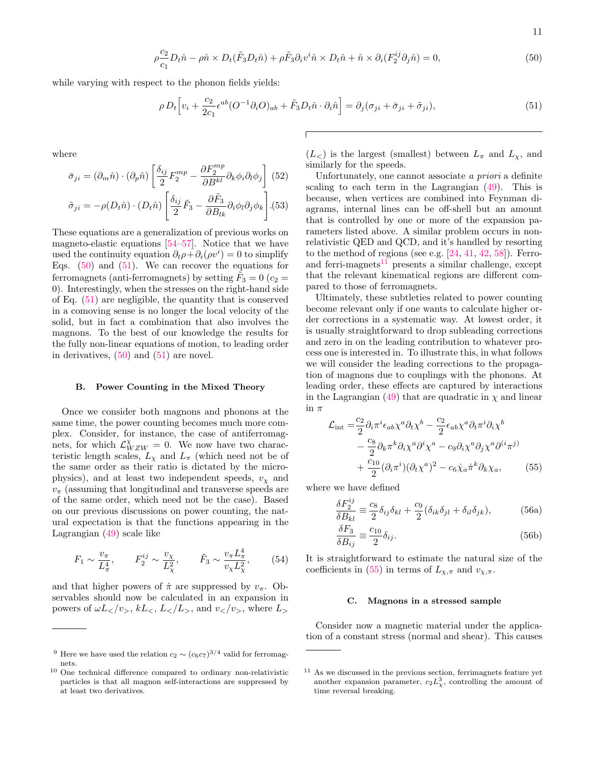<span id="page-10-4"></span>
$$
\rho \frac{c_2}{c_1} D_t \hat{n} - \rho \hat{n} \times D_t(\tilde{F}_3 D_t \hat{n}) + \rho \tilde{F}_3 \partial_i v^i \hat{n} \times D_t \hat{n} + \hat{n} \times \partial_i (F_2^{ij} \partial_j \hat{n}) = 0,
$$
\n(50)

while varying with respect to the phonon fields yields:

<span id="page-10-5"></span>
$$
\rho D_t \Big[ v_i + \frac{c_2}{2c_1} \epsilon^{ab} (O^{-1} \partial_i O)_{ab} + \tilde{F}_3 D_t \hat{n} \cdot \partial_i \hat{n} \Big] = \partial_j (\sigma_{ji} + \bar{\sigma}_{ji} + \tilde{\sigma}_{ji}), \tag{51}
$$

where

$$
\bar{\sigma}_{ji} = (\partial_m \hat{n}) \cdot (\partial_p \hat{n}) \left[ \frac{\delta_{ij}}{2} F_2^{mp} - \frac{\partial F_2^{mp}}{\partial B^{kl}} \partial_k \phi_i \partial_l \phi_j \right] (52)
$$

$$
\tilde{\sigma}_{ji} = -\rho(D_t \hat{n}) \cdot (D_t \hat{n}) \left[ \frac{\delta_{ij}}{2} \tilde{F}_3 - \frac{\partial \tilde{F}_3}{\partial B_{lk}} \partial_i \phi_l \partial_j \phi_k \right] (53)
$$

These equations are a generalization of previous works on magneto-elastic equations [\[54](#page-16-37)[–57\]](#page-16-38). Notice that we have used the continuity equation  $\partial_t \rho + \partial_i (\rho v^i) = 0$  to simplify Eqs.  $(50)$  and  $(51)$ . We can recover the equations for ferromagnets (anti-ferromagnets) by setting  $\tilde{F}_3 = 0$  ( $c_2 =$ 0). Interestingly, when the stresses on the right-hand side of Eq. [\(51\)](#page-10-5) are negligible, the quantity that is conserved in a comoving sense is no longer the local velocity of the solid, but in fact a combination that also involves the magnons. To the best of our knowledge the results for the fully non-linear equations of motion, to leading order in derivatives, [\(50\)](#page-10-4) and [\(51\)](#page-10-5) are novel.

## <span id="page-10-0"></span>B. Power Counting in the Mixed Theory

Once we consider both magnons and phonons at the same time, the power counting becomes much more complex. Consider, for instance, the case of antiferromagnets, for which  $\mathcal{L}_{WZW}^{\chi} = 0$ . We now have two characteristic length scales,  $L_{\chi}$  and  $L_{\pi}$  (which need not be of the same order as their ratio is dictated by the microphysics), and at least two independent speeds,  $v<sub>x</sub>$  and  $v_{\pi}$  (assuming that longitudinal and transverse speeds are of the same order, which need not be the case). Based on our previous discussions on power counting, the natural expectation is that the functions appearing in the Lagrangian [\(49\)](#page-9-4) scale like

$$
F_1 \sim \frac{v_\pi}{L_\pi^4}
$$
,  $F_2^{ij} \sim \frac{v_\chi}{L_\chi^2}$ ,  $\tilde{F}_3 \sim \frac{v_\pi L_\pi^4}{v_\chi L_\chi^2}$ , (54)

and that higher powers of  $\pi$  are suppressed by  $v_{\pi}$ . Observables should now be calculated in an expansion in powers of  $\omega L_, kL_>, L_, and v_$  and  $v_, where L_$ 

 $(L)$  is the largest (smallest) between  $L<sub>\pi</sub>$  and  $L<sub>\chi</sub>$ , and similarly for the speeds.

Unfortunately, one cannot associate a priori a definite scaling to each term in the Lagrangian [\(49\)](#page-9-4). This is because, when vertices are combined into Feynman diagrams, internal lines can be off-shell but an amount that is controlled by one or more of the expansion parameters listed above. A similar problem occurs in nonrelativistic QED and QCD, and it's handled by resorting to the method of regions (see e.g.  $[24, 41, 42, 58]$  $[24, 41, 42, 58]$  $[24, 41, 42, 58]$  $[24, 41, 42, 58]$  $[24, 41, 42, 58]$  $[24, 41, 42, 58]$ ). Ferroand ferri-magnets $11$  presents a similar challenge, except that the relevant kinematical regions are different compared to those of ferromagnets.

Ultimately, these subtleties related to power counting become relevant only if one wants to calculate higher order corrections in a systematic way. At lowest order, it is usually straightforward to drop subleading corrections and zero in on the leading contribution to whatever process one is interested in. To illustrate this, in what follows we will consider the leading corrections to the propagation of magnons due to couplings with the phonons. At leading order, these effects are captured by interactions in the Lagrangian  $(49)$  that are quadratic in  $\chi$  and linear in  $\pi$ 

$$
\mathcal{L}_{int} = \frac{c_2}{2} \partial_i \pi^i \epsilon_{ab} \chi^a \partial_t \chi^b - \frac{c_2}{2} \epsilon_{ab} \chi^a \partial_t \pi^i \partial_i \chi^b \n- \frac{c_8}{2} \partial_k \pi^k \partial_i \chi^a \partial^i \chi^a - c_9 \partial_i \chi^a \partial_j \chi^a \partial^i \pi^j \n+ \frac{c_{10}}{2} (\partial_i \pi^i) (\partial_t \chi^a)^2 - c_6 \dot{\chi}_a \pi^k \partial_k \chi_a,
$$
\n(55)

where we have defined

<span id="page-10-7"></span>
$$
\frac{\delta F_2^{ij}}{\delta B_{kl}} \equiv \frac{c_8}{2} \delta_{ij} \delta_{kl} + \frac{c_9}{2} (\delta_{ik} \delta_{jl} + \delta_{il} \delta_{jk}),\tag{56a}
$$

$$
\frac{\delta F_3}{\delta B_{ij}} \equiv \frac{c_{10}}{2} \delta_{ij}.
$$
\n(56b)

It is straightforward to estimate the natural size of the coefficients in [\(55\)](#page-10-7) in terms of  $L_{\chi,\pi}$  and  $v_{\chi,\pi}$ .

#### <span id="page-10-1"></span>C. Magnons in a stressed sample

Consider now a magnetic material under the application of a constant stress (normal and shear). This causes

<span id="page-10-2"></span><sup>&</sup>lt;sup>9</sup> Here we have used the relation  $c_2 \sim (c_6 c_7)^{3/4}$  valid for ferromagnets.

<span id="page-10-3"></span><sup>10</sup> One technical difference compared to ordinary non-relativistic particles is that all magnon self-interactions are suppressed by at least two derivatives.

<span id="page-10-6"></span><sup>&</sup>lt;sup>11</sup> As we discussed in the previous section, ferrimagnets feature yet another expansion parameter,  $c_2 L_\chi^3$ , controlling the amount of time reversal breaking.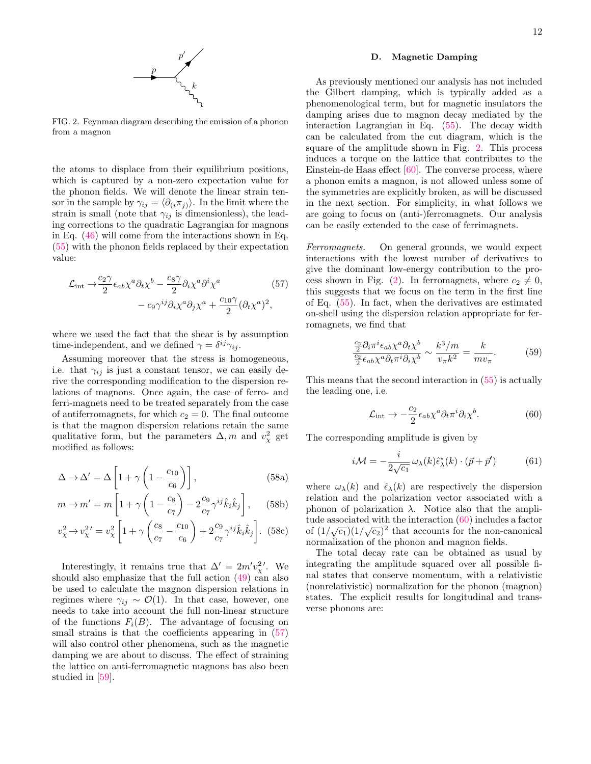

<span id="page-11-2"></span>FIG. 2. Feynman diagram describing the emission of a phonon from a magnon

the atoms to displace from their equilibrium positions, which is captured by a non-zero expectation value for the phonon fields. We will denote the linear strain tensor in the sample by  $\gamma_{ij} = \langle \partial_{(i} \pi_{j)} \rangle$ . In the limit where the strain is small (note that  $\gamma_{ij}$  is dimensionless), the leading corrections to the quadratic Lagrangian for magnons in Eq. [\(46\)](#page-8-3) will come from the interactions shown in Eq. [\(55\)](#page-10-7) with the phonon fields replaced by their expectation value:

$$
\mathcal{L}_{int} \rightarrow \frac{c_2 \gamma}{2} \epsilon_{ab} \chi^a \partial_t \chi^b - \frac{c_8 \gamma}{2} \partial_i \chi^a \partial^i \chi^a
$$
 (57)  
-  $c_9 \gamma^{ij} \partial_i \chi^a \partial_j \chi^a + \frac{c_{10} \gamma}{2} (\partial_t \chi^a)^2$ ,

where we used the fact that the shear is by assumption time-independent, and we defined  $\gamma = \delta^{ij} \gamma_{ij}$ .

Assuming moreover that the stress is homogeneous, i.e. that  $\gamma_{ij}$  is just a constant tensor, we can easily derive the corresponding modification to the dispersion relations of magnons. Once again, the case of ferro- and ferri-magnets need to be treated separately from the case of antiferromagnets, for which  $c_2 = 0$ . The final outcome is that the magnon dispersion relations retain the same qualitative form, but the parameters  $\Delta, m$  and  $v_\chi^2$  get modified as follows:

$$
\Delta \to \Delta' = \Delta \left[ 1 + \gamma \left( 1 - \frac{c_{10}}{c_6} \right) \right],
$$
\n(58a)

$$
m \to m' = m \left[ 1 + \gamma \left( 1 - \frac{c_8}{c_7} \right) - 2 \frac{c_9}{c_7} \gamma^{ij} \hat{k}_i \hat{k}_j \right], \quad (58b)
$$

$$
v_{\chi}^{2} \rightarrow v_{\chi}^{2'} = v_{\chi}^{2} \left[ 1 + \gamma \left( \frac{c_{8}}{c_{7}} - \frac{c_{10}}{c_{6}} \right) + 2 \frac{c_{9}}{c_{7}} \gamma^{ij} \hat{k}_{i} \hat{k}_{j} \right].
$$
 (58c)

Interestingly, it remains true that  $\Delta' = 2m'v_{\chi}^{2'}$ . We should also emphasize that the full action  $(49)$  can also be used to calculate the magnon dispersion relations in regimes where  $\gamma_{ij} \sim \mathcal{O}(1)$ . In that case, however, one needs to take into account the full non-linear structure of the functions  $F_i(B)$ . The advantage of focusing on small strains is that the coefficients appearing in  $(57)$ will also control other phenomena, such as the magnetic damping we are about to discuss. The effect of straining the lattice on anti-ferromagnetic magnons has also been studied in [\[59\]](#page-17-0).

### <span id="page-11-0"></span>D. Magnetic Damping

As previously mentioned our analysis has not included the Gilbert damping, which is typically added as a phenomenological term, but for magnetic insulators the damping arises due to magnon decay mediated by the interaction Lagrangian in Eq. [\(55\)](#page-10-7). The decay width can be calculated from the cut diagram, which is the square of the amplitude shown in Fig. [2.](#page-11-2) This process induces a torque on the lattice that contributes to the Einstein-de Haas effect [\[60\]](#page-17-1). The converse process, where a phonon emits a magnon, is not allowed unless some of the symmetries are explicitly broken, as will be discussed in the next section. For simplicity, in what follows we are going to focus on (anti-)ferromagnets. Our analysis can be easily extended to the case of ferrimagnets.

<span id="page-11-1"></span>Ferromagnets. On general grounds, we would expect interactions with the lowest number of derivatives to give the dominant low-energy contribution to the pro-cess shown in Fig. [\(2\)](#page-11-2). In ferromagnets, where  $c_2 \neq 0$ , this suggests that we focus on the term in the first line of Eq. [\(55\)](#page-10-7). In fact, when the derivatives are estimated on-shell using the dispersion relation appropriate for ferromagnets, we find that

$$
\frac{\frac{c_2}{2}\partial_i \pi^i \epsilon_{ab} \chi^a \partial_t \chi^b}{\frac{c_2}{2}\epsilon_{ab} \chi^a \partial_t \pi^i \partial_i \chi^b} \sim \frac{k^3/m}{v_\pi k^2} = \frac{k}{mv_\pi}.
$$
 (59)

This means that the second interaction in [\(55\)](#page-10-7) is actually the leading one, i.e.

<span id="page-11-3"></span>
$$
\mathcal{L}_{int} \to -\frac{c_2}{2} \epsilon_{ab} \chi^a \partial_t \pi^i \partial_i \chi^b. \tag{60}
$$

The corresponding amplitude is given by

$$
i\mathcal{M} = -\frac{i}{2\sqrt{c_1}}\,\omega_\lambda(k)\hat{\epsilon}^\star_\lambda(k)\cdot(\vec{p}+\vec{p}^\prime) \tag{61}
$$

where  $\omega_{\lambda}(k)$  and  $\hat{\epsilon}_{\lambda}(k)$  are respectively the dispersion relation and the polarization vector associated with a phonon of polarization  $λ$ . Notice also that the amplitude associated with the interaction [\(60\)](#page-11-3) includes a factor fude associated with the interaction (bo) includes a factor<br>of  $(1/\sqrt{c_1})(1/\sqrt{c_2})^2$  that accounts for the non-canonical normalization of the phonon and magnon fields.

The total decay rate can be obtained as usual by integrating the amplitude squared over all possible final states that conserve momentum, with a relativistic (nonrelativistic) normalization for the phonon (magnon) states. The explicit results for longitudinal and transverse phonons are: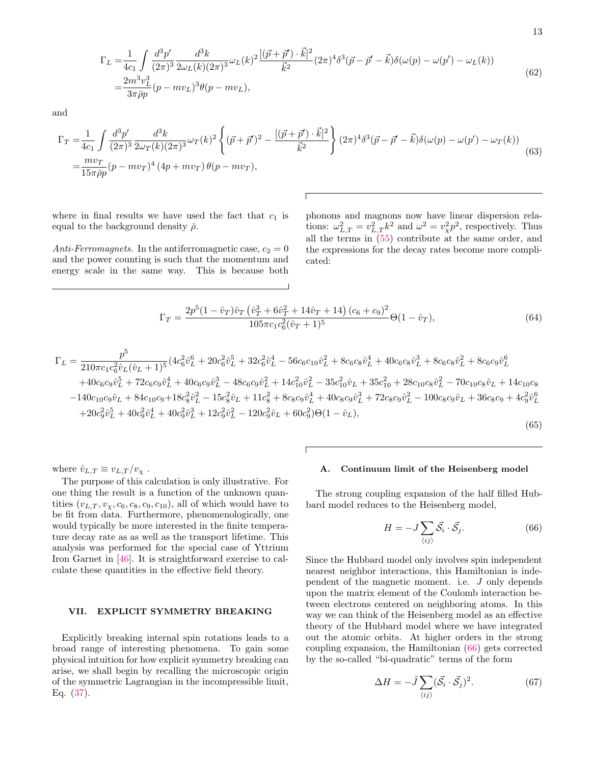$$
\Gamma_{L} = \frac{1}{4c_{1}} \int \frac{d^{3}p'}{(2\pi)^{3}} \frac{d^{3}k}{2\omega_{L}(k)(2\pi)^{3}} \omega_{L}(k)^{2} \frac{[(\vec{p} + \vec{p}') \cdot \vec{k}]^{2}}{\vec{k}^{2}} (2\pi)^{4} \delta^{3}(\vec{p} - \vec{p}' - \vec{k}) \delta(\omega(p) - \omega(p') - \omega_{L}(k))
$$
\n
$$
= \frac{2m^{3}v_{L}^{3}}{3\pi\bar{p}p} (p - mv_{L})^{3} \theta(p - mv_{L}),
$$
\n(62)

and

$$
\Gamma_{T} = \frac{1}{4c_{1}} \int \frac{d^{3}p'}{(2\pi)^{3}} \frac{d^{3}k}{2\omega_{T}(k)(2\pi)^{3}} \omega_{T}(k)^{2} \left\{ (\vec{p} + \vec{p}')^{2} - \frac{[(\vec{p} + \vec{p}') \cdot \vec{k}]^{2}}{\vec{k}^{2}} \right\} (2\pi)^{4} \delta^{3}(\vec{p} - \vec{p}' - \vec{k}) \delta(\omega(p) - \omega(p') - \omega_{T}(k))
$$
\n
$$
= \frac{m v_{T}}{15 \pi \bar{\rho} p} (p - m v_{T})^{4} (4p + m v_{T}) \theta(p - m v_{T}),
$$
\n(63)

where in final results we have used the fact that  $c_1$  is equal to the background density  $\bar{\rho}$ .

Anti-Ferromagnets. In the antiferromagnetic case,  $c_2 = 0$ and the power counting is such that the momentum and energy scale in the same way. This is because both

phonons and magnons now have linear dispersion relations:  $\omega_{L,T}^2 = v_{L,T}^2 k^2$  and  $\omega^2 = v_{\chi}^2 p^2$ , respectively. Thus all the terms in [\(55\)](#page-10-7) contribute at the same order, and the expressions for the decay rates become more complicated:

$$
\Gamma_T = \frac{2p^5(1 - \hat{v}_T)\hat{v}_T(\hat{v}_T^3 + 6\hat{v}_T^2 + 14\hat{v}_T + 14)(c_6 + c_9)^2}{105\pi c_1 c_6^2(\hat{v}_T + 1)^5} \Theta(1 - \hat{v}_T),\tag{64}
$$

$$
\Gamma_L = \frac{p^5}{210\pi c_1 c_6^2 \hat{v}_L (\hat{v}_L + 1)^5} (4c_6^2 \hat{v}_L^6 + 20c_6^2 \hat{v}_L^5 + 32c_6^2 \hat{v}_L^4 - 56c_6 c_{10} \hat{v}_L^2 + 8c_6 c_8 \hat{v}_L^4 + 40c_6 c_8 \hat{v}_L^3 + 8c_6 c_8 \hat{v}_L^2 + 8c_6 c_9 \hat{v}_L^6 + 40c_6 c_9 \hat{v}_L^5 + 72c_6 c_9 \hat{v}_L^4 + 40c_6 c_9 \hat{v}_L^3 - 48c_6 c_9 \hat{v}_L^2 + 14c_{10}^2 \hat{v}_L^2 - 35c_{10}^2 \hat{v}_L + 35c_{10}^2 + 28c_{10} c_8 \hat{v}_L^2 - 70c_{10} c_8 \hat{v}_L + 14c_{10} c_8 - 140c_{10} c_9 \hat{v}_L + 84c_{10} c_9 + 18c_8^2 \hat{v}_L^2 - 15c_8^2 \hat{v}_L + 11c_8^2 + 8c_8 c_9 \hat{v}_L^4 + 40c_8 c_9 \hat{v}_L^3 + 72c_8 c_9 \hat{v}_L^3 - 100c_8 c_9 \hat{v}_L + 36c_8 c_9 + 4c_9^2 \hat{v}_L^6 + 20c_9^2 \hat{v}_L^5 + 40c_9^2 \hat{v}_L^4 + 40c_9^2 \hat{v}_L^3 + 12c_9^2 \hat{v}_L^2 - 120c_9^2 \hat{v}_L + 60c_9^2) \Theta(1 - \hat{v}_L),
$$
\n(65)

where  $\hat{v}_{L,T} \equiv v_{L,T}/v_{\chi}$ .

The purpose of this calculation is only illustrative. For one thing the result is a function of the unknown quantities  $(v_{L,T}, v_{\chi}, c_6, c_8, c_9, c_{10})$ , all of which would have to be fit from data. Furthermore, phenomenologically, one would typically be more interested in the finite temperature decay rate as as well as the transport lifetime. This analysis was performed for the special case of Yttrium Iron Garnet in [\[46\]](#page-16-30). It is straightforward exercise to calculate these quantities in the effective field theory.

## <span id="page-12-0"></span>VII. EXPLICIT SYMMETRY BREAKING

Explicitly breaking internal spin rotations leads to a broad range of interesting phenomena. To gain some physical intuition for how explicit symmetry breaking can arise, we shall begin by recalling the microscopic origin of the symmetric Lagrangian in the incompressible limit, Eq. [\(37\)](#page-7-7).

#### <span id="page-12-1"></span>A. Continuum limit of the Heisenberg model

The strong coupling expansion of the half filled Hubbard model reduces to the Heisenberg model,

<span id="page-12-2"></span>
$$
H = -J\sum_{\langle ij \rangle} \vec{S}_i \cdot \vec{S}_j. \tag{66}
$$

Since the Hubbard model only involves spin independent nearest neighbor interactions, this Hamiltonian is independent of the magnetic moment. i.e. J only depends upon the matrix element of the Coulomb interaction between electrons centered on neighboring atoms. In this way we can think of the Heisenberg model as an effective theory of the Hubbard model where we have integrated out the atomic orbits. At higher orders in the strong coupling expansion, the Hamiltonian [\(66\)](#page-12-2) gets corrected by the so-called "bi-quadratic" terms of the form

$$
\Delta H = -\tilde{J} \sum_{\langle ij \rangle} (\vec{S}_i \cdot \vec{S}_j)^2.
$$
 (67)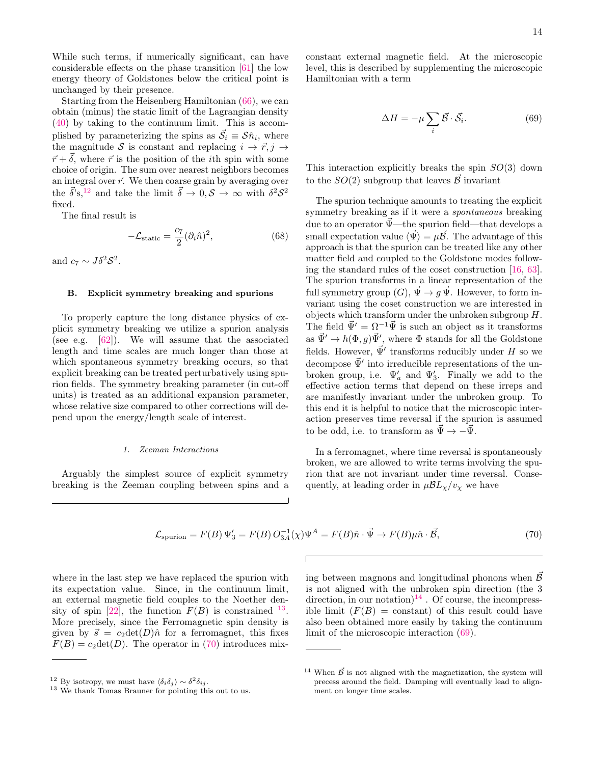While such terms, if numerically significant, can have considerable effects on the phase transition [\[61\]](#page-17-2) the low energy theory of Goldstones below the critical point is unchanged by their presence.

Starting from the Heisenberg Hamiltonian [\(66\)](#page-12-2), we can obtain (minus) the static limit of the Lagrangian density [\(40\)](#page-8-2) by taking to the continuum limit. This is accomplished by parameterizing the spins as  $\vec{S}_i \equiv S \hat{n}_i$ , where the magnitude S is constant and replacing  $i \rightarrow \vec{r}, j \rightarrow$  $\vec{r} + \vec{\delta}$ , where  $\vec{r}$  is the position of the *i*th spin with some choice of origin. The sum over nearest neighbors becomes an integral over  $\vec{r}$ . We then coarse grain by averaging over the  $\vec{\delta}$ 's,<sup>[12](#page-13-2)</sup> and take the limit  $\vec{\delta} \to 0, \mathcal{S} \to \infty$  with  $\delta^2 \mathcal{S}^2$ fixed.

The final result is

$$
-\mathcal{L}_{\text{static}} = \frac{c_7}{2} (\partial_i \hat{n})^2, \tag{68}
$$

and  $c_7 \sim J\delta^2 \mathcal{S}^2$ .

### <span id="page-13-0"></span>B. Explicit symmetry breaking and spurions

To properly capture the long distance physics of explicit symmetry breaking we utilize a spurion analysis (see e.g. [\[62\]](#page-17-3)). We will assume that the associated length and time scales are much longer than those at which spontaneous symmetry breaking occurs, so that explicit breaking can be treated perturbatively using spurion fields. The symmetry breaking parameter (in cut-off units) is treated as an additional expansion parameter, whose relative size compared to other corrections will depend upon the energy/length scale of interest.

### <span id="page-13-1"></span>1. Zeeman Interactions

Arguably the simplest source of explicit symmetry breaking is the Zeeman coupling between spins and a constant external magnetic field. At the microscopic level, this is described by supplementing the microscopic Hamiltonian with a term

<span id="page-13-6"></span>
$$
\Delta H = -\mu \sum_{i} \vec{\mathcal{B}} \cdot \vec{\mathcal{S}}_{i}.\tag{69}
$$

This interaction explicitly breaks the spin  $SO(3)$  down to the  $SO(2)$  subgroup that leaves  $\vec{\mathcal{B}}$  invariant

The spurion technique amounts to treating the explicit symmetry breaking as if it were a spontaneous breaking due to an operator  $\vec{\Psi}$ —the spurion field—that develops a small expectation value  $\langle \vec{\Psi} \rangle = \mu \vec{\mathcal{B}}$ . The advantage of this approach is that the spurion can be treated like any other matter field and coupled to the Goldstone modes following the standard rules of the coset construction [\[16,](#page-16-6) [63\]](#page-17-4). The spurion transforms in a linear representation of the full symmetry group  $(G)$ ,  $\vec{\Psi} \to q \vec{\Psi}$ . However, to form invariant using the coset construction we are interested in objects which transform under the unbroken subgroup H. The field  $\vec{\Psi}' = \Omega^{-1} \vec{\Psi}$  is such an object as it transforms as  $\vec{\Psi}' \to h(\Phi, g) \vec{\Psi}'$ , where  $\Phi$  stands for all the Goldstone fields. However,  $\vec{\Psi}'$  transforms reducibly under H so we decompose  $\vec{\Psi}'$  into irreducible representations of the unbroken group, i.e.  $\Psi'_a$  and  $\Psi'_3$ . Finally we add to the effective action terms that depend on these irreps and are manifestly invariant under the unbroken group. To this end it is helpful to notice that the microscopic interaction preserves time reversal if the spurion is assumed to be odd, i.e. to transform as  $\vec{\Psi} \rightarrow -\vec{\Psi}$ .

In a ferromagnet, where time reversal is spontaneously broken, we are allowed to write terms involving the spurion that are not invariant under time reversal. Consequently, at leading order in  $\mu \mathcal{B}L_{\chi}/v_{\chi}$  we have

$$
\mathcal{L}_{\text{spurion}} = F(B)\,\Psi_3' = F(B)\,O_{3A}^{-1}(\chi)\Psi^A = F(B)\hat{n}\cdot\vec{\Psi} \to F(B)\mu\hat{n}\cdot\vec{\mathcal{B}},\tag{70}
$$

where in the last step we have replaced the spurion with its expectation value. Since, in the continuum limit, an external magnetic field couples to the Noether den-sity of spin [\[22\]](#page-16-11), the function  $F(B)$  is constrained <sup>[13](#page-13-3)</sup>. More precisely, since the Ferromagnetic spin density is given by  $\vec{s} = c_2 \det(D) \hat{n}$  for a ferromagnet, this fixes  $F(B) = c_2 \text{det}(D)$ . The operator in [\(70\)](#page-13-4) introduces mix<span id="page-13-4"></span>ing between magnons and longitudinal phonons when  $\vec{\beta}$ is not aligned with the unbroken spin direction (the 3 direction, in our notation)<sup>[14](#page-13-5)</sup>. Of course, the incompressible limit  $(F(B) = constant)$  of this result could have also been obtained more easily by taking the continuum limit of the microscopic interaction [\(69\)](#page-13-6).

<span id="page-13-2"></span><sup>&</sup>lt;sup>12</sup> By isotropy, we must have  $\langle \delta_i \delta_j \rangle \sim \delta^2 \delta_{ij}$ .

<span id="page-13-3"></span><sup>&</sup>lt;sup>13</sup> We thank Tomas Brauner for pointing this out to us.

<span id="page-13-5"></span><sup>&</sup>lt;sup>14</sup> When  $\vec{\beta}$  is not aligned with the magnetization, the system will precess around the field. Damping will eventually lead to alignment on longer time scales.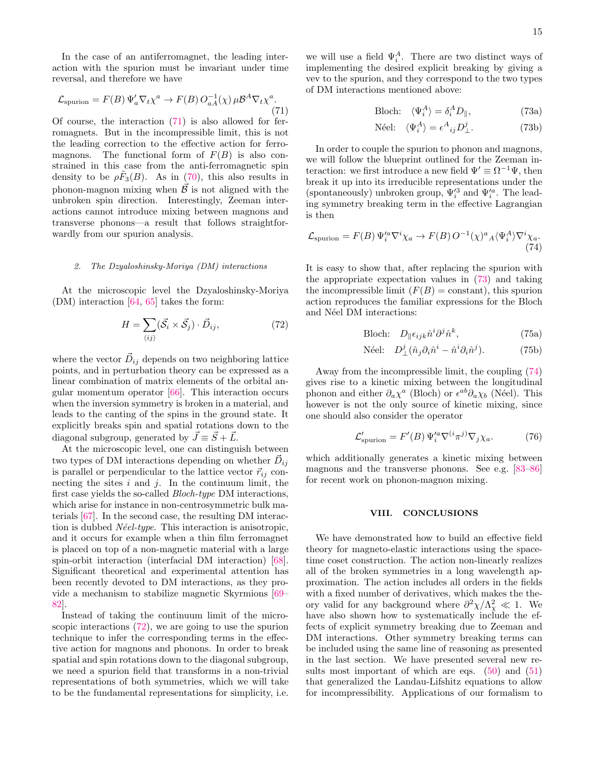In the case of an antiferromagnet, the leading interaction with the spurion must be invariant under time reversal, and therefore we have

<span id="page-14-2"></span>
$$
\mathcal{L}_{\text{spurion}} = F(B) \, \Psi_a' \nabla_t \chi^a \to F(B) \, O_{aA}^{-1}(\chi) \, \mu \mathcal{B}^A \nabla_t \chi^a. \tag{71}
$$

Of course, the interaction [\(71\)](#page-14-2) is also allowed for ferromagnets. But in the incompressible limit, this is not the leading correction to the effective action for ferromagnons. The functional form of  $F(B)$  is also constrained in this case from the anti-ferromagnetic spin density to be  $\rho \tilde{F}_3(B)$ . As in [\(70\)](#page-13-4), this also results in phonon-magnon mixing when  $\vec{\beta}$  is not aligned with the unbroken spin direction. Interestingly, Zeeman interactions cannot introduce mixing between magnons and transverse phonons—a result that follows straightforwardly from our spurion analysis.

### <span id="page-14-0"></span>2. The Dzyaloshinsky-Moriya (DM) interactions

At the microscopic level the Dzyaloshinsky-Moriya (DM) interaction [\[64,](#page-17-5) [65\]](#page-17-6) takes the form:

<span id="page-14-3"></span>
$$
H = \sum_{\langle ij \rangle} (\vec{S}_i \times \vec{S}_j) \cdot \vec{D}_{ij},\tag{72}
$$

where the vector  $\vec{D}_{ij}$  depends on two neighboring lattice points, and in perturbation theory can be expressed as a linear combination of matrix elements of the orbital angular momentum operator [\[66\]](#page-17-7). This interaction occurs when the inversion symmetry is broken in a material, and leads to the canting of the spins in the ground state. It explicitly breaks spin and spatial rotations down to the diagonal subgroup, generated by  $\vec{J} \equiv \vec{S} + \vec{L}$ .

At the microscopic level, one can distinguish between two types of DM interactions depending on whether  $\vec{D}_{ij}$ is parallel or perpendicular to the lattice vector  $\vec{r}_{ij}$  connecting the sites  $i$  and  $j$ . In the continuum limit, the first case yields the so-called Bloch-type DM interactions, which arise for instance in non-centrosymmetric bulk materials [\[67\]](#page-17-8). In the second case, the resulting DM interaction is dubbed  $N\acute{e}el-type$ . This interaction is anisotropic, and it occurs for example when a thin film ferromagnet is placed on top of a non-magnetic material with a large spin-orbit interaction (interfacial DM interaction) [\[68\]](#page-17-9). Significant theoretical and experimental attention has been recently devoted to DM interactions, as they provide a mechanism to stabilize magnetic Skyrmions [\[69–](#page-17-10) [82\]](#page-17-11).

Instead of taking the continuum limit of the microscopic interactions [\(72\)](#page-14-3), we are going to use the spurion technique to infer the corresponding terms in the effective action for magnons and phonons. In order to break spatial and spin rotations down to the diagonal subgroup, we need a spurion field that transforms in a non-trivial representations of both symmetries, which we will take to be the fundamental representations for simplicity, i.e.

we will use a field  $\Psi_i^A$ . There are two distinct ways of implementing the desired explicit breaking by giving a vev to the spurion, and they correspond to the two types of DM interactions mentioned above:

<span id="page-14-4"></span>
$$
\text{Bloch:} \quad \langle \Psi_i^A \rangle = \delta_i^A D_{\parallel}, \tag{73a}
$$

Néel: 
$$
\langle \Psi_i^A \rangle = \epsilon^A_{ij} D^j_{\perp}.
$$
 (73b)

In order to couple the spurion to phonon and magnons, we will follow the blueprint outlined for the Zeeman interaction: we first introduce a new field  $\Psi' \equiv \Omega^{-1}\Psi$ , then break it up into its irreducible representations under the (spontaneously) unbroken group,  $\Psi^{\prime 3}_i$  and  $\Psi^{\prime a}_i.$  The leading symmetry breaking term in the effective Lagrangian is then

$$
\mathcal{L}_{\text{spurion}} = F(B) \, \Psi_i^{\prime a} \nabla^i \chi_a \to F(B) \, O^{-1}(\chi)^a{}_A \langle \Psi_i^A \rangle \nabla^i \chi_a. \tag{74}
$$

It is easy to show that, after replacing the spurion with the appropriate expectation values in [\(73\)](#page-14-4) and taking the incompressible limit  $(F(B) = constant)$ , this spurion action reproduces the familiar expressions for the Bloch and Néel DM interactions:

<span id="page-14-5"></span>Bloch:

\n
$$
D_{\parallel} \epsilon_{ijk} \hat{n}^i \partial^j \hat{n}^k,
$$
\n(75a)

Néel: 
$$
D^j_\perp(\hat{n}_j \partial_i \hat{n}^i - \hat{n}^i \partial_i \hat{n}^j).
$$
 (75b)

Away from the incompressible limit, the coupling [\(74\)](#page-14-5) gives rise to a kinetic mixing between the longitudinal phonon and either  $\partial_a \chi^a$  (Bloch) or  $\epsilon^{ab} \partial_a \chi_b$  (Néel). This however is not the only source of kinetic mixing, since one should also consider the operator

$$
\mathcal{L}'_{\text{spurion}} = F'(B) \Psi_i^{\prime a} \nabla^{(i} \pi^{j)} \nabla_j \chi_a. \tag{76}
$$

which additionally generates a kinetic mixing between magnons and the transverse phonons. See e.g. [\[83](#page-17-12)[–86\]](#page-17-13) for recent work on phonon-magnon mixing.

### <span id="page-14-1"></span>VIII. CONCLUSIONS

We have demonstrated how to build an effective field theory for magneto-elastic interactions using the spacetime coset construction. The action non-linearly realizes all of the broken symmetries in a long wavelength approximation. The action includes all orders in the fields with a fixed number of derivatives, which makes the theory valid for any background where  $\partial^2 \chi / \Lambda_\chi^2 \ll 1$ . We have also shown how to systematically include the effects of explicit symmetry breaking due to Zeeman and DM interactions. Other symmetry breaking terms can be included using the same line of reasoning as presented in the last section. We have presented several new results most important of which are eqs.  $(50)$  and  $(51)$ that generalized the Landau-Lifshitz equations to allow for incompressibility. Applications of our formalism to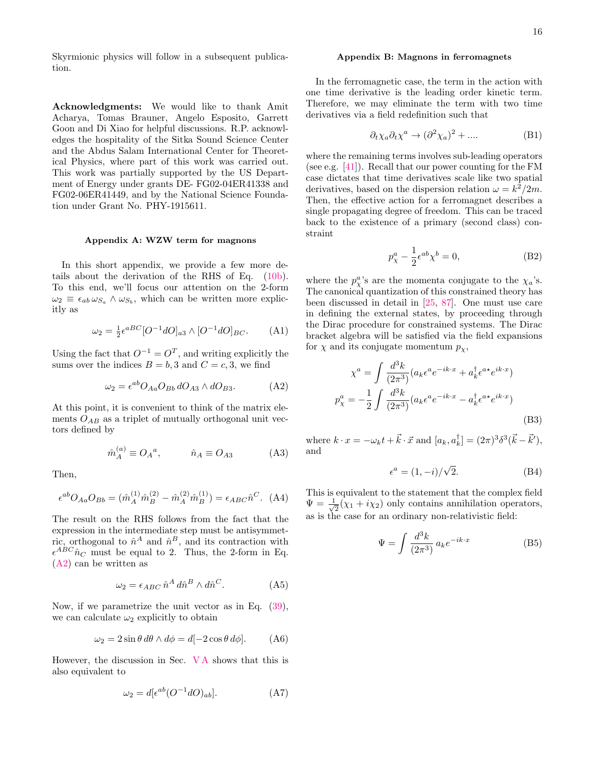Skyrmionic physics will follow in a subsequent publication.

Acknowledgments: We would like to thank Amit Acharya, Tomas Brauner, Angelo Esposito, Garrett Goon and Di Xiao for helpful discussions. R.P. acknowledges the hospitality of the Sitka Sound Science Center and the Abdus Salam International Center for Theoretical Physics, where part of this work was carried out. This work was partially supported by the US Department of Energy under grants DE- FG02-04ER41338 and FG02-06ER41449, and by the National Science Foundation under Grant No. PHY-1915611.

## <span id="page-15-0"></span>Appendix A: WZW term for magnons

In this short appendix, we provide a few more details about the derivation of the RHS of Eq. [\(10b\)](#page-4-4). To this end, we'll focus our attention on the 2-form  $\omega_2 \equiv \epsilon_{ab} \omega_{S_a} \wedge \omega_{S_b}$ , which can be written more explicitly as

$$
\omega_2 = \frac{1}{2} \epsilon^{aBC} [O^{-1} dO]_{a3} \wedge [O^{-1} dO]_{BC}. \tag{A1}
$$

Using the fact that  $O^{-1} = O^T$ , and writing explicitly the sums over the indices  $B = b$ , 3 and  $C = c$ , 3, we find

<span id="page-15-2"></span>
$$
\omega_2 = \epsilon^{ab} O_{Aa} O_{Bb} dO_{A3} \wedge dO_{B3}.
$$
 (A2)

At this point, it is convenient to think of the matrix elements  $O_{AB}$  as a triplet of mutually orthogonal unit vectors defined by

$$
\hat{m}_A^{(a)} \equiv O_A{}^a, \qquad \hat{n}_A \equiv O_{A3} \tag{A3}
$$

Then,

$$
\epsilon^{ab}O_{Aa}O_{Bb} = (\hat{m}_A^{(1)}\hat{m}_B^{(2)} - \hat{m}_A^{(2)}\hat{m}_B^{(1)}) = \epsilon_{ABC}\hat{n}^C. \tag{A4}
$$

The result on the RHS follows from the fact that the expression in the intermediate step must be antisymmetric, orthogonal to  $\hat{n}^A$  and  $\hat{n}^B$ , and its contraction with  $\epsilon^{ABC} \hat{n}_C$  must be equal to 2. Thus, the 2-form in Eq. [\(A2\)](#page-15-2) can be written as

$$
\omega_2 = \epsilon_{ABC} \hat{n}^A d\hat{n}^B \wedge d\hat{n}^C.
$$
 (A5)

Now, if we parametrize the unit vector as in Eq. [\(39\)](#page-8-5), we can calculate  $\omega_2$  explicitly to obtain

$$
\omega_2 = 2\sin\theta \, d\theta \wedge d\phi = d[-2\cos\theta \, d\phi]. \tag{A6}
$$

However, the discussion in Sec. [V A](#page-8-0) shows that this is also equivalent to

$$
\omega_2 = d[\epsilon^{ab} (O^{-1} dO)_{ab}]. \tag{A7}
$$

### <span id="page-15-1"></span>Appendix B: Magnons in ferromagnets

In the ferromagnetic case, the term in the action with one time derivative is the leading order kinetic term. Therefore, we may eliminate the term with two time derivatives via a field redefinition such that

$$
\partial_t \chi_a \partial_t \chi^a \to (\partial^2 \chi_a)^2 + \dots. \tag{B1}
$$

where the remaining terms involves sub-leading operators (see e.g. [\[41\]](#page-16-27)). Recall that our power counting for the FM case dictates that time derivatives scale like two spatial derivatives, based on the dispersion relation  $\omega = k^2/2m$ . Then, the effective action for a ferromagnet describes a single propagating degree of freedom. This can be traced back to the existence of a primary (second class) constraint

$$
p_{\chi}^{a} - \frac{1}{2} \epsilon^{ab} \chi^{b} = 0,
$$
 (B2)

where the  $p_{\chi}^{a}$ 's are the momenta conjugate to the  $\chi_{a}$ 's. The canonical quantization of this constrained theory has been discussed in detail in [\[25,](#page-16-15) [87\]](#page-17-14). One must use care in defining the external states, by proceeding through the Dirac procedure for constrained systems. The Dirac bracket algebra will be satisfied via the field expansions for  $\chi$  and its conjugate momentum  $p_{\chi}$ ,

$$
\chi^{a} = \int \frac{d^{3}k}{(2\pi^{3})} (a_{k}\epsilon^{a}e^{-ik\cdot x} + a_{k}^{\dagger}\epsilon^{a*}e^{ik\cdot x})
$$

$$
p_{\chi}^{a} = -\frac{1}{2} \int \frac{d^{3}k}{(2\pi^{3})} (a_{k}\epsilon^{a}e^{-ik\cdot x} - a_{k}^{\dagger}\epsilon^{a*}e^{ik\cdot x})
$$
(B3)

where  $k \cdot x = -\omega_k t + \vec{k} \cdot \vec{x}$  and  $[a_k, a_k^{\dagger}] = (2\pi)^3 \delta^3(\vec{k} - \vec{k}'),$ and

$$
\epsilon^a = (1, -i)/\sqrt{2}.\tag{B4}
$$

This is equivalent to the statement that the complex field  $\Psi = \frac{1}{\sqrt{2}}$  $\frac{1}{2}(\chi_1 + i\chi_2)$  only contains annihilation operators, as is the case for an ordinary non-relativistic field:

$$
\Psi = \int \frac{d^3k}{(2\pi^3)} a_k e^{-ik \cdot x}
$$
 (B5)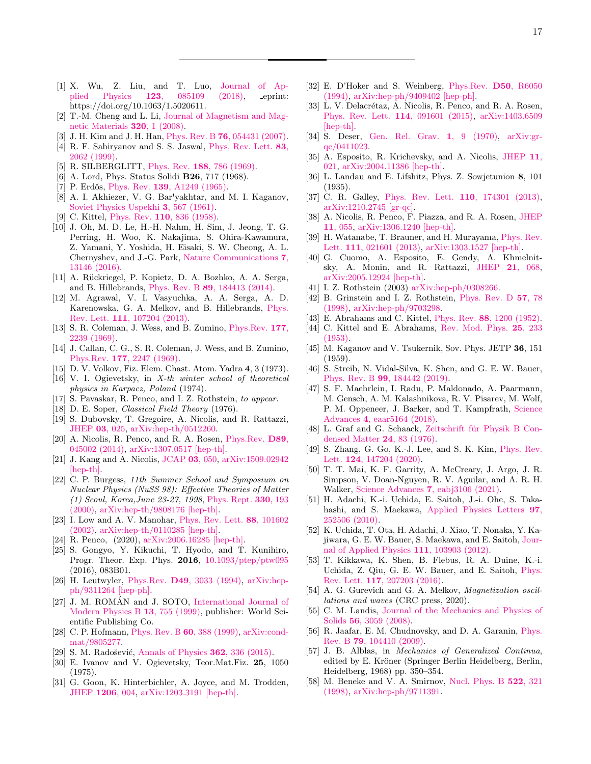- <span id="page-16-1"></span><span id="page-16-0"></span>[1] X. Wu, Z. Liu, and T. Luo, [Journal of Ap](https://doi.org/10.1063/1.5020611)plied Physics 123[, 085109 \(2018\),](https://doi.org/10.1063/1.5020611) eprint: https://doi.org/10.1063/1.5020611.
- [2] T.-M. Cheng and L. Li, [Journal of Magnetism and Mag](https://doi.org/https://doi.org/10.1016/j.jmmm.2007.04.010)[netic Materials](https://doi.org/https://doi.org/10.1016/j.jmmm.2007.04.010) 320, 1 (2008).
- [3] J. H. Kim and J. H. Han, Phys. Rev. B 76[, 054431 \(2007\).](https://doi.org/10.1103/PhysRevB.76.054431)
- [4] R. F. Sabiryanov and S. S. Jaswal, [Phys. Rev. Lett.](https://doi.org/10.1103/PhysRevLett.83.2062) 83, [2062 \(1999\).](https://doi.org/10.1103/PhysRevLett.83.2062)
- [5] R. SILBERGLITT, Phys. Rev. 188[, 786 \(1969\).](https://doi.org/10.1103/PhysRev.188.786)
- [6] A. Lord, Phys. Status Solidi B26, 717 (1968).
- [7] P. Erdŏs, Phys. Rev. 139[, A1249 \(1965\).](https://doi.org/10.1103/PhysRev.139.A1249)
- [8] A. I. Akhiezer, V. G. Bar'yakhtar, and M. I. Kaganov, [Soviet Physics Uspekhi](https://doi.org/10.1070/pu1961v003n04abeh003309) 3, 567 (1961).
- <span id="page-16-2"></span>[9] C. Kittel, Phys. Rev. **110**[, 836 \(1958\).](https://doi.org/10.1103/PhysRev.110.836)
- <span id="page-16-3"></span>[10] J. Oh, M. D. Le, H.-H. Nahm, H. Sim, J. Jeong, T. G. Perring, H. Woo, K. Nakajima, S. Ohira-Kawamura, Z. Yamani, Y. Yoshida, H. Eisaki, S. W. Cheong, A. L. Chernyshev, and J.-G. Park, [Nature Communications](https://doi.org/10.1038/ncomms13146) 7, [13146 \(2016\).](https://doi.org/10.1038/ncomms13146)
- <span id="page-16-36"></span>[11] A. Rückriegel, P. Kopietz, D. A. Bozhko, A. A. Serga, and B. Hillebrands, Phys. Rev. B 89[, 184413 \(2014\).](https://doi.org/10.1103/PhysRevB.89.184413)
- <span id="page-16-4"></span>[12] M. Agrawal, V. I. Vasyuchka, A. A. Serga, A. D. Karenowska, G. A. Melkov, and B. Hillebrands, [Phys.](https://doi.org/10.1103/PhysRevLett.111.107204) Rev. Lett. 111[, 107204 \(2013\).](https://doi.org/10.1103/PhysRevLett.111.107204)
- <span id="page-16-5"></span>[13] S. R. Coleman, J. Wess, and B. Zumino, [Phys.Rev.](https://doi.org/10.1103/PhysRev.177.2239) 177. [2239 \(1969\).](https://doi.org/10.1103/PhysRev.177.2239)
- [14] J. Callan, C. G., S. R. Coleman, J. Wess, and B. Zumino, Phys.Rev. 177[, 2247 \(1969\).](https://doi.org/10.1103/PhysRev.177.2247)
- [15] D. V. Volkov, Fiz. Elem. Chast. Atom. Yadra 4, 3 (1973).
- <span id="page-16-6"></span>[16] V. I. Ogievetsky, in X-th winter school of theoretical physics in Karpacz, Poland (1974).
- <span id="page-16-7"></span>[17] S. Pavaskar, R. Penco, and I. Z. Rothstein, to appear.
- <span id="page-16-8"></span>[18] D. E. Soper, *Classical Field Theory* (1976).
- [19] S. Dubovsky, T. Gregoire, A. Nicolis, and R. Rattazzi, [JHEP](https://doi.org/10.1088/1126-6708/2006/03/025) 03, 025, [arXiv:hep-th/0512260.](https://arxiv.org/abs/hep-th/0512260)
- <span id="page-16-9"></span>[20] A. Nicolis, R. Penco, and R. A. Rosen, [Phys.Rev.](https://doi.org/10.1103/PhysRevD.89.045002) D89, [045002 \(2014\),](https://doi.org/10.1103/PhysRevD.89.045002) [arXiv:1307.0517 \[hep-th\].](https://arxiv.org/abs/1307.0517)
- <span id="page-16-10"></span>[21] J. Kang and A. Nicolis, [JCAP](https://doi.org/10.1088/1475-7516/2016/03/050) 03, 050, [arXiv:1509.02942](https://arxiv.org/abs/1509.02942) [\[hep-th\].](https://arxiv.org/abs/1509.02942)
- <span id="page-16-11"></span>[22] C. P. Burgess, 11th Summer School and Symposium on Nuclear Physics (NuSS 98): Effective Theories of Matter (1) Seoul, Korea,June 23-27, 1998, [Phys. Rept.](https://doi.org/10.1016/S0370-1573(99)00111-8) 330, 193 [\(2000\),](https://doi.org/10.1016/S0370-1573(99)00111-8) [arXiv:hep-th/9808176 \[hep-th\].](https://arxiv.org/abs/hep-th/9808176)
- <span id="page-16-12"></span>[23] I. Low and A. V. Manohar, [Phys. Rev. Lett.](https://doi.org/10.1103/PhysRevLett.88.101602) 88, 101602 [\(2002\),](https://doi.org/10.1103/PhysRevLett.88.101602) [arXiv:hep-th/0110285 \[hep-th\].](https://arxiv.org/abs/hep-th/0110285)
- <span id="page-16-13"></span>[24] R. Penco, (2020), [arXiv:2006.16285 \[hep-th\].](https://arxiv.org/abs/2006.16285)
- <span id="page-16-15"></span>[25] S. Gongyo, Y. Kikuchi, T. Hyodo, and T. Kunihiro, Progr. Theor. Exp. Phys. 2016, [10.1093/ptep/ptw095](https://doi.org/10.1093/ptep/ptw095) (2016), 083B01.
- <span id="page-16-16"></span>[26] H. Leutwyler, Phys.Rev. **D49**[, 3033 \(1994\),](https://doi.org/10.1103/PhysRevD.49.3033) [arXiv:hep](https://arxiv.org/abs/hep-ph/9311264)[ph/9311264 \[hep-ph\].](https://arxiv.org/abs/hep-ph/9311264)
- [27] J. M. ROMÁN and J. SOTO, [International Journal of](https://doi.org/10.1142/S0217979299000655) [Modern Physics B](https://doi.org/10.1142/S0217979299000655) 13, 755 (1999), publisher: World Scientific Publishing Co.
- [28] C. P. Hofmann, [Phys. Rev. B](https://doi.org/10.1103/PhysRevB.60.388) 60, 388 (1999), [arXiv:cond](https://arxiv.org/abs/cond-mat/9805277)[mat/9805277.](https://arxiv.org/abs/cond-mat/9805277)
- <span id="page-16-17"></span>[29] S. M. Radošević, [Annals of Physics](https://doi.org/https://doi.org/10.1016/j.aop.2015.08.003) **362**, 336 (2015).
- <span id="page-16-14"></span>[30] E. Ivanov and V. Ogievetsky, Teor.Mat.Fiz. 25, 1050 (1975).
- <span id="page-16-18"></span>[31] G. Goon, K. Hinterbichler, A. Joyce, and M. Trodden, [JHEP](https://doi.org/10.1007/JHEP06(2012)004) 1206, 004, [arXiv:1203.3191 \[hep-th\].](https://arxiv.org/abs/1203.3191)
- <span id="page-16-20"></span>[32] E. D'Hoker and S. Weinberg, [Phys.Rev.](https://doi.org/10.1103/PhysRevD.50.R6050) D50, R6050 [\(1994\),](https://doi.org/10.1103/PhysRevD.50.R6050) [arXiv:hep-ph/9409402 \[hep-ph\].](https://arxiv.org/abs/hep-ph/9409402)
- <span id="page-16-19"></span>[33] L. V. Delacrétaz, A. Nicolis, R. Penco, and R. A. Rosen, [Phys. Rev. Lett.](https://doi.org/10.1103/PhysRevLett.114.091601) 114, 091601 (2015), [arXiv:1403.6509](https://arxiv.org/abs/1403.6509) [\[hep-th\].](https://arxiv.org/abs/1403.6509)
- <span id="page-16-21"></span>[34] S. Deser, [Gen. Rel. Grav.](https://doi.org/10.1007/BF00759198) 1, 9 (1970), [arXiv:gr](https://arxiv.org/abs/gr-qc/0411023)[qc/0411023.](https://arxiv.org/abs/gr-qc/0411023)
- <span id="page-16-22"></span>[35] A. Esposito, R. Krichevsky, and A. Nicolis, [JHEP](https://doi.org/10.1007/JHEP11(2020)021) 11, [021,](https://doi.org/10.1007/JHEP11(2020)021) [arXiv:2004.11386 \[hep-th\].](https://arxiv.org/abs/2004.11386)
- <span id="page-16-23"></span>[36] L. Landau and E. Lifshitz, Phys. Z. Sowjetunion 8, 101 (1935).
- <span id="page-16-24"></span>[37] C. R. Galley, [Phys. Rev. Lett.](https://doi.org/10.1103/PhysRevLett.110.174301) **110**, 174301 (2013), [arXiv:1210.2745 \[gr-qc\].](https://arxiv.org/abs/1210.2745)
- <span id="page-16-25"></span>[38] A. Nicolis, R. Penco, F. Piazza, and R. A. Rosen, [JHEP](https://doi.org/10.1007/JHEP11(2013)055) 11[, 055,](https://doi.org/10.1007/JHEP11(2013)055) [arXiv:1306.1240 \[hep-th\].](https://arxiv.org/abs/1306.1240)
- [39] H. Watanabe, T. Brauner, and H. Murayama, [Phys. Rev.](https://doi.org/10.1103/PhysRevLett.111.021601) Lett. 111[, 021601 \(2013\),](https://doi.org/10.1103/PhysRevLett.111.021601) [arXiv:1303.1527 \[hep-th\].](https://arxiv.org/abs/1303.1527)
- <span id="page-16-26"></span>[40] G. Cuomo, A. Esposito, E. Gendy, A. Khmelnitsky, A. Monin, and R. Rattazzi, JHEP 21[, 068,](https://doi.org/10.1007/JHEP02(2021)068) [arXiv:2005.12924 \[hep-th\].](https://arxiv.org/abs/2005.12924)
- <span id="page-16-27"></span>[41] I. Z. Rothstein (2003) [arXiv:hep-ph/0308266.](https://arxiv.org/abs/hep-ph/0308266)
- <span id="page-16-28"></span>[42] B. Grinstein and I. Z. Rothstein, [Phys. Rev. D](https://doi.org/10.1103/PhysRevD.57.78) 57, 78 [\(1998\),](https://doi.org/10.1103/PhysRevD.57.78) [arXiv:hep-ph/9703298.](https://arxiv.org/abs/hep-ph/9703298)
- <span id="page-16-29"></span>[43] E. Abrahams and C. Kittel, Phys. Rev. 88[, 1200 \(1952\).](https://doi.org/10.1103/PhysRev.88.1200)
- [44] C. Kittel and E. Abrahams, [Rev. Mod. Phys.](https://doi.org/10.1103/RevModPhys.25.233) 25, 233 [\(1953\).](https://doi.org/10.1103/RevModPhys.25.233)
- [45] M. Kaganov and V. Tsukernik, Sov. Phys. JETP 36, 151 (1959).
- <span id="page-16-30"></span>[46] S. Streib, N. Vidal-Silva, K. Shen, and G. E. W. Bauer, Phys. Rev. B 99[, 184442 \(2019\).](https://doi.org/10.1103/PhysRevB.99.184442)
- <span id="page-16-31"></span>[47] S. F. Maehrlein, I. Radu, P. Maldonado, A. Paarmann, M. Gensch, A. M. Kalashnikova, R. V. Pisarev, M. Wolf, P. M. Oppeneer, J. Barker, and T. Kampfrath, [Science](https://doi.org/10.1126/sciadv.aar5164) Advances 4[, eaar5164 \(2018\).](https://doi.org/10.1126/sciadv.aar5164)
- <span id="page-16-32"></span>[48] L. Graf and G. Schaack, Zeitschrift für Physik B Con[densed Matter](https://doi.org/10.1007/BF01312877) 24, 83 (1976).
- [49] S. Zhang, G. Go, K.-J. Lee, and S. K. Kim, [Phys. Rev.](https://doi.org/10.1103/PhysRevLett.124.147204) Lett. 124[, 147204 \(2020\).](https://doi.org/10.1103/PhysRevLett.124.147204)
- <span id="page-16-33"></span>[50] T. T. Mai, K. F. Garrity, A. McCreary, J. Argo, J. R. Simpson, V. Doan-Nguyen, R. V. Aguilar, and A. R. H. Walker, Science Advances 7[, eabj3106 \(2021\).](https://doi.org/10.1126/sciadv.abj3106)
- <span id="page-16-34"></span>[51] H. Adachi, K.-i. Uchida, E. Saitoh, J.-i. Ohe, S. Takahashi, and S. Maekawa, [Applied Physics Letters](https://doi.org/10.1063/1.3529944) 97, [252506 \(2010\).](https://doi.org/10.1063/1.3529944)
- [52] K. Uchida, T. Ota, H. Adachi, J. Xiao, T. Nonaka, Y. Kajiwara, G. E. W. Bauer, S. Maekawa, and E. Saitoh, [Jour](https://doi.org/10.1063/1.4716012)[nal of Applied Physics](https://doi.org/10.1063/1.4716012) 111, 103903 (2012).
- <span id="page-16-35"></span>[53] T. Kikkawa, K. Shen, B. Flebus, R. A. Duine, K.-i. Uchida, Z. Qiu, G. E. W. Bauer, and E. Saitoh, [Phys.](https://doi.org/10.1103/PhysRevLett.117.207203) Rev. Lett. 117[, 207203 \(2016\).](https://doi.org/10.1103/PhysRevLett.117.207203)
- <span id="page-16-37"></span>[54] A. G. Gurevich and G. A. Melkov, Magnetization oscillations and waves (CRC press, 2020).
- [55] C. M. Landis, [Journal of the Mechanics and Physics of](https://doi.org/https://doi.org/10.1016/j.jmps.2008.05.004) Solids 56[, 3059 \(2008\).](https://doi.org/https://doi.org/10.1016/j.jmps.2008.05.004)
- [56] R. Jaafar, E. M. Chudnovsky, and D. A. Garanin, [Phys.](https://doi.org/10.1103/PhysRevB.79.104410) Rev. B 79[, 104410 \(2009\).](https://doi.org/10.1103/PhysRevB.79.104410)
- <span id="page-16-38"></span>[57] J. B. Alblas, in Mechanics of Generalized Continua, edited by E. Kröner (Springer Berlin Heidelberg, Berlin, Heidelberg, 1968) pp. 350–354.
- <span id="page-16-39"></span>[58] M. Beneke and V. A. Smirnov, [Nucl. Phys. B](https://doi.org/10.1016/S0550-3213(98)00138-2) 522, 321 [\(1998\),](https://doi.org/10.1016/S0550-3213(98)00138-2) [arXiv:hep-ph/9711391.](https://arxiv.org/abs/hep-ph/9711391)